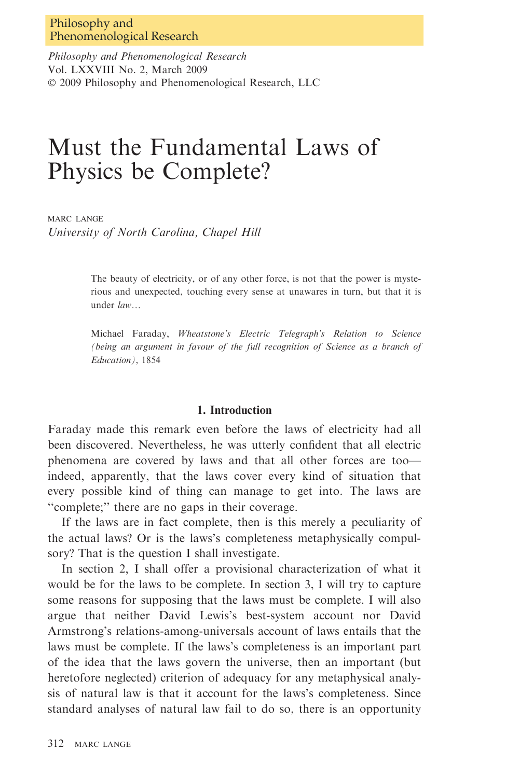Philosophy and Phenomenological Research

Philosophy and Phenomenological Research Vol. LXXVIII No. 2, March 2009  $© 2009 Philosophy and Phenomenological Research, LLC$ 

# Must the Fundamental Laws of Physics be Complete?

marc lange University of North Carolina, Chapel Hill

> The beauty of electricity, or of any other force, is not that the power is mysterious and unexpected, touching every sense at unawares in turn, but that it is under law…

> Michael Faraday, Wheatstone's Electric Telegraph's Relation to Science (being an argument in favour of the full recognition of Science as a branch of Education), 1854

#### 1. Introduction

Faraday made this remark even before the laws of electricity had all been discovered. Nevertheless, he was utterly confident that all electric phenomena are covered by laws and that all other forces are too indeed, apparently, that the laws cover every kind of situation that every possible kind of thing can manage to get into. The laws are ''complete;'' there are no gaps in their coverage.

If the laws are in fact complete, then is this merely a peculiarity of the actual laws? Or is the laws's completeness metaphysically compulsory? That is the question I shall investigate.

In section 2, I shall offer a provisional characterization of what it would be for the laws to be complete. In section 3, I will try to capture some reasons for supposing that the laws must be complete. I will also argue that neither David Lewis's best-system account nor David Armstrong's relations-among-universals account of laws entails that the laws must be complete. If the laws's completeness is an important part of the idea that the laws govern the universe, then an important (but heretofore neglected) criterion of adequacy for any metaphysical analysis of natural law is that it account for the laws's completeness. Since standard analyses of natural law fail to do so, there is an opportunity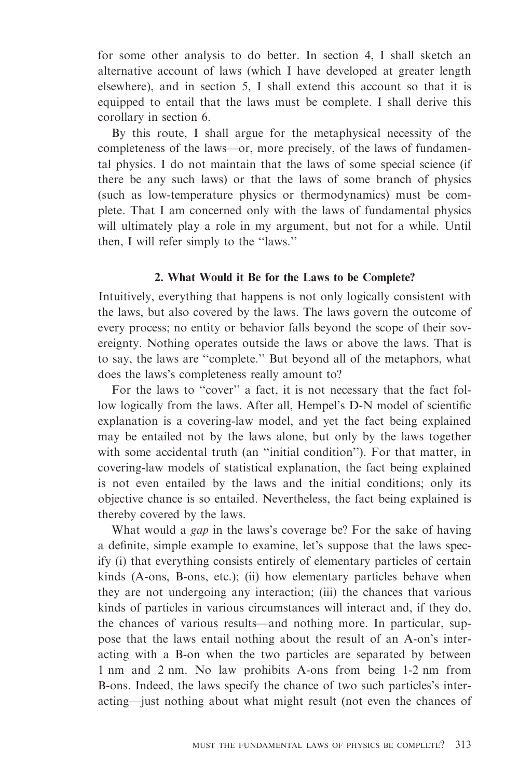for some other analysis to do better. In section 4, I shall sketch an alternative account of laws (which I have developed at greater length elsewhere), and in section 5, I shall extend this account so that it is equipped to entail that the laws must be complete. I shall derive this corollary in section 6.

By this route, I shall argue for the metaphysical necessity of the completeness of the laws—or, more precisely, of the laws of fundamental physics. I do not maintain that the laws of some special science (if there be any such laws) or that the laws of some branch of physics (such as low-temperature physics or thermodynamics) must be complete. That I am concerned only with the laws of fundamental physics will ultimately play a role in my argument, but not for a while. Until then, I will refer simply to the ''laws.''

#### 2. What Would it Be for the Laws to be Complete?

Intuitively, everything that happens is not only logically consistent with the laws, but also covered by the laws. The laws govern the outcome of every process; no entity or behavior falls beyond the scope of their sovereignty. Nothing operates outside the laws or above the laws. That is to say, the laws are ''complete.'' But beyond all of the metaphors, what does the laws's completeness really amount to?

For the laws to ''cover'' a fact, it is not necessary that the fact follow logically from the laws. After all, Hempel's D-N model of scientific explanation is a covering-law model, and yet the fact being explained may be entailed not by the laws alone, but only by the laws together with some accidental truth (an ''initial condition''). For that matter, in covering-law models of statistical explanation, the fact being explained is not even entailed by the laws and the initial conditions; only its objective chance is so entailed. Nevertheless, the fact being explained is thereby covered by the laws.

What would a *gap* in the laws's coverage be? For the sake of having a definite, simple example to examine, let's suppose that the laws specify (i) that everything consists entirely of elementary particles of certain kinds (A-ons, B-ons, etc.); (ii) how elementary particles behave when they are not undergoing any interaction; (iii) the chances that various kinds of particles in various circumstances will interact and, if they do, the chances of various results—and nothing more. In particular, suppose that the laws entail nothing about the result of an A-on's interacting with a B-on when the two particles are separated by between 1 nm and 2 nm. No law prohibits A-ons from being 1-2 nm from B-ons. Indeed, the laws specify the chance of two such particles's interacting—just nothing about what might result (not even the chances of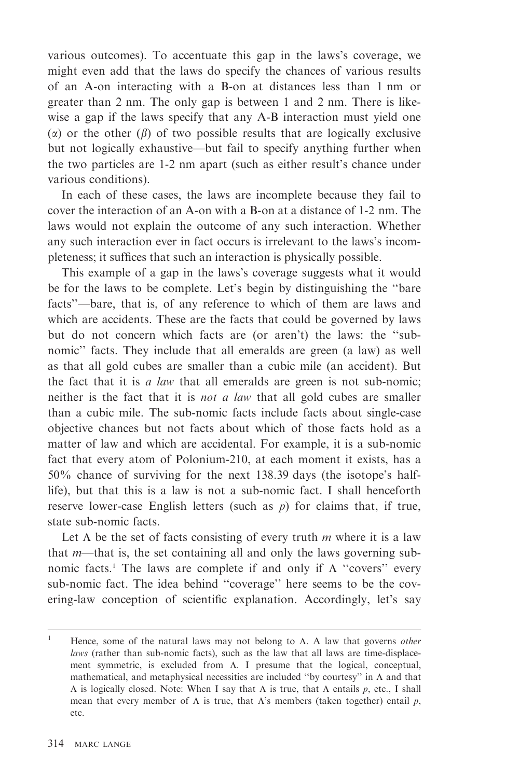various outcomes). To accentuate this gap in the laws's coverage, we might even add that the laws do specify the chances of various results of an A-on interacting with a B-on at distances less than 1 nm or greater than 2 nm. The only gap is between 1 and 2 nm. There is likewise a gap if the laws specify that any A-B interaction must yield one ( $\alpha$ ) or the other ( $\beta$ ) of two possible results that are logically exclusive but not logically exhaustive—but fail to specify anything further when the two particles are 1-2 nm apart (such as either result's chance under various conditions).

In each of these cases, the laws are incomplete because they fail to cover the interaction of an A-on with a B-on at a distance of 1-2 nm. The laws would not explain the outcome of any such interaction. Whether any such interaction ever in fact occurs is irrelevant to the laws's incompleteness; it suffices that such an interaction is physically possible.

This example of a gap in the laws's coverage suggests what it would be for the laws to be complete. Let's begin by distinguishing the ''bare facts''—bare, that is, of any reference to which of them are laws and which are accidents. These are the facts that could be governed by laws but do not concern which facts are (or aren't) the laws: the ''subnomic'' facts. They include that all emeralds are green (a law) as well as that all gold cubes are smaller than a cubic mile (an accident). But the fact that it is a law that all emeralds are green is not sub-nomic; neither is the fact that it is *not a law* that all gold cubes are smaller than a cubic mile. The sub-nomic facts include facts about single-case objective chances but not facts about which of those facts hold as a matter of law and which are accidental. For example, it is a sub-nomic fact that every atom of Polonium-210, at each moment it exists, has a 50% chance of surviving for the next 138.39 days (the isotope's halflife), but that this is a law is not a sub-nomic fact. I shall henceforth reserve lower-case English letters (such as  $p$ ) for claims that, if true, state sub-nomic facts.

Let  $\Lambda$  be the set of facts consisting of every truth m where it is a law that  $m$ —that is, the set containing all and only the laws governing subnomic facts.<sup>1</sup> The laws are complete if and only if  $\Lambda$  "covers" every sub-nomic fact. The idea behind ''coverage'' here seems to be the covering-law conception of scientific explanation. Accordingly, let's say

<sup>&</sup>lt;sup>1</sup> Hence, some of the natural laws may not belong to  $\Lambda$ . A law that governs *other* laws (rather than sub-nomic facts), such as the law that all laws are time-displacement symmetric, is excluded from  $\Lambda$ . I presume that the logical, conceptual, mathematical, and metaphysical necessities are included "by courtesy" in  $\Lambda$  and that  $\Lambda$  is logically closed. Note: When I say that  $\Lambda$  is true, that  $\Lambda$  entails p, etc., I shall mean that every member of  $\Lambda$  is true, that  $\Lambda$ 's members (taken together) entail p, etc.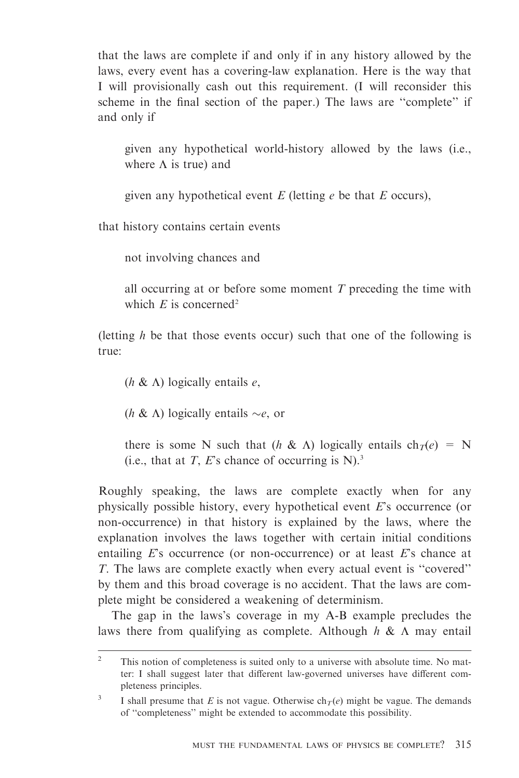that the laws are complete if and only if in any history allowed by the laws, every event has a covering-law explanation. Here is the way that I will provisionally cash out this requirement. (I will reconsider this scheme in the final section of the paper.) The laws are ''complete'' if and only if

given any hypothetical world-history allowed by the laws (i.e., where  $\Lambda$  is true) and

given any hypothetical event  $E$  (letting  $e$  be that  $E$  occurs),

that history contains certain events

not involving chances and

all occurring at or before some moment  $T$  preceding the time with which  $E$  is concerned<sup>2</sup>

(letting  $h$  be that those events occur) such that one of the following is true:

 $(h \& \Lambda)$  logically entails e,

(*h* &  $\Lambda$ ) logically entails  $\sim e$ , or

there is some N such that  $(h \& \Lambda)$  logically entails  $ch_{\tau}(e) = N$ (i.e., that at T, E's chance of occurring is N).<sup>3</sup>

Roughly speaking, the laws are complete exactly when for any physically possible history, every hypothetical event E's occurrence (or non-occurrence) in that history is explained by the laws, where the explanation involves the laws together with certain initial conditions entailing  $E$ 's occurrence (or non-occurrence) or at least  $E$ 's chance at T. The laws are complete exactly when every actual event is ''covered'' by them and this broad coverage is no accident. That the laws are complete might be considered a weakening of determinism.

The gap in the laws's coverage in my A-B example precludes the laws there from qualifying as complete. Although  $h \& \Lambda$  may entail

<sup>&</sup>lt;sup>2</sup> This notion of completeness is suited only to a universe with absolute time. No matter: I shall suggest later that different law-governed universes have different completeness principles.

<sup>&</sup>lt;sup>3</sup> I shall presume that *E* is not vague. Otherwise ch<sub>T</sub>(e) might be vague. The demands of ''completeness'' might be extended to accommodate this possibility.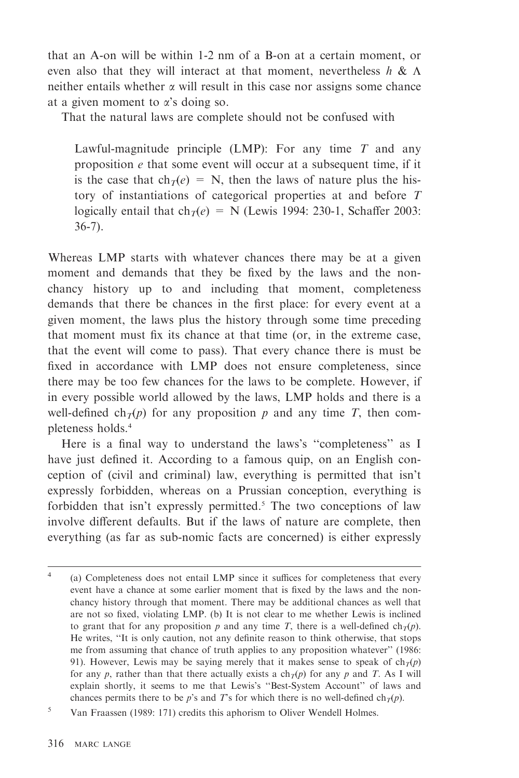that an A-on will be within 1-2 nm of a B-on at a certain moment, or even also that they will interact at that moment, nevertheless  $h \& \Lambda$ neither entails whether  $\alpha$  will result in this case nor assigns some chance at a given moment to  $\alpha$ 's doing so.

That the natural laws are complete should not be confused with

Lawful-magnitude principle  $(LMP)$ : For any time T and any proposition e that some event will occur at a subsequent time, if it is the case that  $ch_T(e) = N$ , then the laws of nature plus the history of instantiations of categorical properties at and before T logically entail that  $ch_T(e) = N$  (Lewis 1994: 230-1, Schaffer 2003:  $36-7)$ .

Whereas LMP starts with whatever chances there may be at a given moment and demands that they be fixed by the laws and the nonchancy history up to and including that moment, completeness demands that there be chances in the first place: for every event at a given moment, the laws plus the history through some time preceding that moment must fix its chance at that time (or, in the extreme case, that the event will come to pass). That every chance there is must be fixed in accordance with LMP does not ensure completeness, since there may be too few chances for the laws to be complete. However, if in every possible world allowed by the laws, LMP holds and there is a well-defined ch<sub> $T$ </sub>(p) for any proposition p and any time T, then completeness holds.4

Here is a final way to understand the laws's ''completeness'' as I have just defined it. According to a famous quip, on an English conception of (civil and criminal) law, everything is permitted that isn't expressly forbidden, whereas on a Prussian conception, everything is forbidden that isn't expressly permitted.<sup>5</sup> The two conceptions of law involve different defaults. But if the laws of nature are complete, then everything (as far as sub-nomic facts are concerned) is either expressly

<sup>4</sup> (a) Completeness does not entail LMP since it suffices for completeness that every event have a chance at some earlier moment that is fixed by the laws and the nonchancy history through that moment. There may be additional chances as well that are not so fixed, violating LMP. (b) It is not clear to me whether Lewis is inclined to grant that for any proposition p and any time T, there is a well-defined  $ch_T(p)$ . He writes, ''It is only caution, not any definite reason to think otherwise, that stops me from assuming that chance of truth applies to any proposition whatever'' (1986: 91). However, Lewis may be saying merely that it makes sense to speak of  $ch<sub>T</sub>(p)$ for any p, rather than that there actually exists a  $ch_T(p)$  for any p and T. As I will explain shortly, it seems to me that Lewis's ''Best-System Account'' of laws and chances permits there to be p's and T's for which there is no well-defined ch<sub>T</sub>(p).

<sup>&</sup>lt;sup>5</sup> Van Fraassen (1989: 171) credits this aphorism to Oliver Wendell Holmes.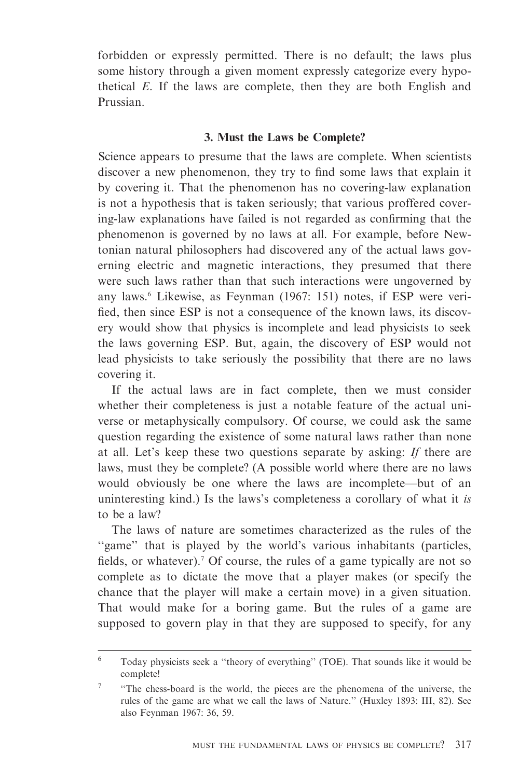forbidden or expressly permitted. There is no default; the laws plus some history through a given moment expressly categorize every hypothetical E. If the laws are complete, then they are both English and Prussian.

#### 3. Must the Laws be Complete?

Science appears to presume that the laws are complete. When scientists discover a new phenomenon, they try to find some laws that explain it by covering it. That the phenomenon has no covering-law explanation is not a hypothesis that is taken seriously; that various proffered covering-law explanations have failed is not regarded as confirming that the phenomenon is governed by no laws at all. For example, before Newtonian natural philosophers had discovered any of the actual laws governing electric and magnetic interactions, they presumed that there were such laws rather than that such interactions were ungoverned by any laws.6 Likewise, as Feynman (1967: 151) notes, if ESP were verified, then since ESP is not a consequence of the known laws, its discovery would show that physics is incomplete and lead physicists to seek the laws governing ESP. But, again, the discovery of ESP would not lead physicists to take seriously the possibility that there are no laws covering it.

If the actual laws are in fact complete, then we must consider whether their completeness is just a notable feature of the actual universe or metaphysically compulsory. Of course, we could ask the same question regarding the existence of some natural laws rather than none at all. Let's keep these two questions separate by asking: If there are laws, must they be complete? (A possible world where there are no laws would obviously be one where the laws are incomplete—but of an uninteresting kind.) Is the laws's completeness a corollary of what it is to be a law?

The laws of nature are sometimes characterized as the rules of the "game" that is played by the world's various inhabitants (particles, fields, or whatever).<sup>7</sup> Of course, the rules of a game typically are not so complete as to dictate the move that a player makes (or specify the chance that the player will make a certain move) in a given situation. That would make for a boring game. But the rules of a game are supposed to govern play in that they are supposed to specify, for any

<sup>6</sup> Today physicists seek a ''theory of everything'' (TOE). That sounds like it would be complete!

<sup>&</sup>lt;sup>7</sup> "The chess-board is the world, the pieces are the phenomena of the universe, the rules of the game are what we call the laws of Nature.'' (Huxley 1893: III, 82). See also Feynman 1967: 36, 59.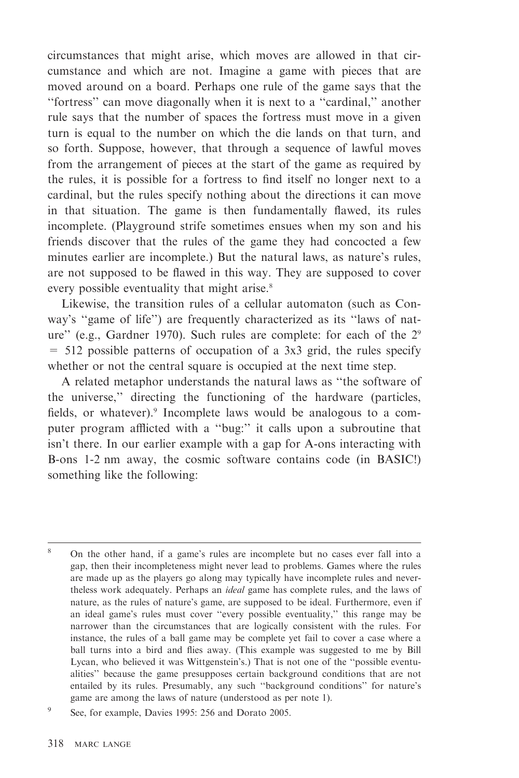circumstances that might arise, which moves are allowed in that circumstance and which are not. Imagine a game with pieces that are moved around on a board. Perhaps one rule of the game says that the ''fortress'' can move diagonally when it is next to a ''cardinal,'' another rule says that the number of spaces the fortress must move in a given turn is equal to the number on which the die lands on that turn, and so forth. Suppose, however, that through a sequence of lawful moves from the arrangement of pieces at the start of the game as required by the rules, it is possible for a fortress to find itself no longer next to a cardinal, but the rules specify nothing about the directions it can move in that situation. The game is then fundamentally flawed, its rules incomplete. (Playground strife sometimes ensues when my son and his friends discover that the rules of the game they had concocted a few minutes earlier are incomplete.) But the natural laws, as nature's rules, are not supposed to be flawed in this way. They are supposed to cover every possible eventuality that might arise.<sup>8</sup>

Likewise, the transition rules of a cellular automaton (such as Conway's ''game of life'') are frequently characterized as its ''laws of nature'' (e.g., Gardner 1970). Such rules are complete: for each of the 29 = 512 possible patterns of occupation of a 3x3 grid, the rules specify whether or not the central square is occupied at the next time step.

A related metaphor understands the natural laws as ''the software of the universe,'' directing the functioning of the hardware (particles, fields, or whatever).<sup>9</sup> Incomplete laws would be analogous to a computer program afflicted with a ''bug:'' it calls upon a subroutine that isn't there. In our earlier example with a gap for A-ons interacting with B-ons 1-2 nm away, the cosmic software contains code (in BASIC!) something like the following:

<sup>8</sup> On the other hand, if a game's rules are incomplete but no cases ever fall into a gap, then their incompleteness might never lead to problems. Games where the rules are made up as the players go along may typically have incomplete rules and nevertheless work adequately. Perhaps an ideal game has complete rules, and the laws of nature, as the rules of nature's game, are supposed to be ideal. Furthermore, even if an ideal game's rules must cover ''every possible eventuality,'' this range may be narrower than the circumstances that are logically consistent with the rules. For instance, the rules of a ball game may be complete yet fail to cover a case where a ball turns into a bird and flies away. (This example was suggested to me by Bill Lycan, who believed it was Wittgenstein's.) That is not one of the ''possible eventualities'' because the game presupposes certain background conditions that are not entailed by its rules. Presumably, any such ''background conditions'' for nature's game are among the laws of nature (understood as per note 1).

<sup>&</sup>lt;sup>9</sup> See, for example, Davies 1995: 256 and Dorato 2005.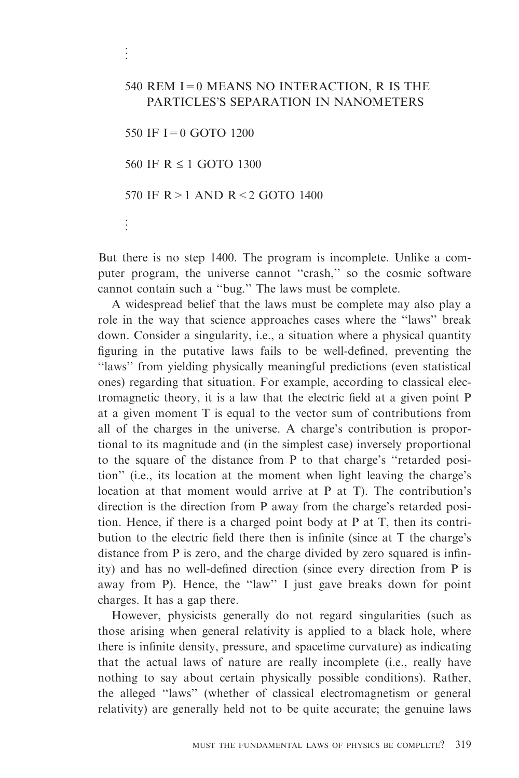## 540 REM I=0 MEANS NO INTERACTION, R IS THE PARTICLES'S SEPARATION IN NANOMETERS

550 IF  $I=0$  GOTO 1200

. . .

. . .

560 IF R £ 1 GOTO 1300

570 IF  $R > 1$  AND  $R < 2$  GOTO 1400

But there is no step 1400. The program is incomplete. Unlike a computer program, the universe cannot ''crash,'' so the cosmic software cannot contain such a ''bug.'' The laws must be complete.

A widespread belief that the laws must be complete may also play a role in the way that science approaches cases where the ''laws'' break down. Consider a singularity, i.e., a situation where a physical quantity figuring in the putative laws fails to be well-defined, preventing the "laws" from yielding physically meaningful predictions (even statistical ones) regarding that situation. For example, according to classical electromagnetic theory, it is a law that the electric field at a given point P at a given moment T is equal to the vector sum of contributions from all of the charges in the universe. A charge's contribution is proportional to its magnitude and (in the simplest case) inversely proportional to the square of the distance from P to that charge's ''retarded position'' (i.e., its location at the moment when light leaving the charge's location at that moment would arrive at P at T). The contribution's direction is the direction from P away from the charge's retarded position. Hence, if there is a charged point body at P at T, then its contribution to the electric field there then is infinite (since at T the charge's distance from P is zero, and the charge divided by zero squared is infinity) and has no well-defined direction (since every direction from P is away from P). Hence, the ''law'' I just gave breaks down for point charges. It has a gap there.

However, physicists generally do not regard singularities (such as those arising when general relativity is applied to a black hole, where there is infinite density, pressure, and spacetime curvature) as indicating that the actual laws of nature are really incomplete (i.e., really have nothing to say about certain physically possible conditions). Rather, the alleged ''laws'' (whether of classical electromagnetism or general relativity) are generally held not to be quite accurate; the genuine laws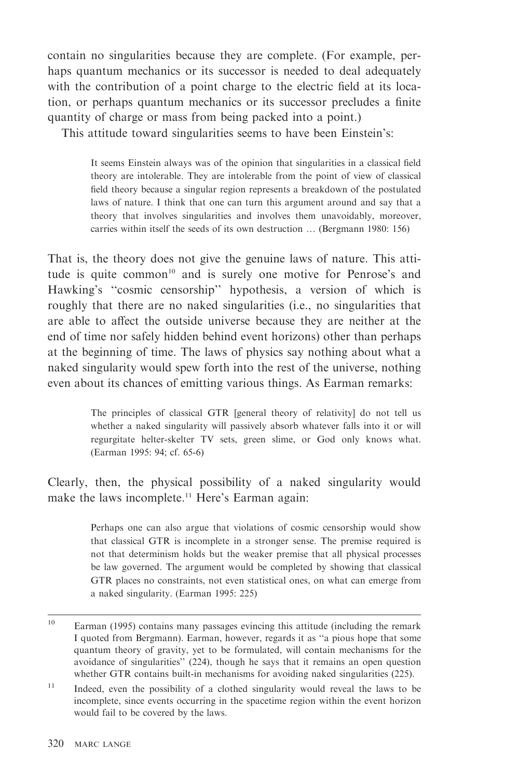contain no singularities because they are complete. (For example, perhaps quantum mechanics or its successor is needed to deal adequately with the contribution of a point charge to the electric field at its location, or perhaps quantum mechanics or its successor precludes a finite quantity of charge or mass from being packed into a point.)

This attitude toward singularities seems to have been Einstein's:

It seems Einstein always was of the opinion that singularities in a classical field theory are intolerable. They are intolerable from the point of view of classical field theory because a singular region represents a breakdown of the postulated laws of nature. I think that one can turn this argument around and say that a theory that involves singularities and involves them unavoidably, moreover, carries within itself the seeds of its own destruction … (Bergmann 1980: 156)

That is, the theory does not give the genuine laws of nature. This attitude is quite common<sup>10</sup> and is surely one motive for Penrose's and Hawking's ''cosmic censorship'' hypothesis, a version of which is roughly that there are no naked singularities (i.e., no singularities that are able to affect the outside universe because they are neither at the end of time nor safely hidden behind event horizons) other than perhaps at the beginning of time. The laws of physics say nothing about what a naked singularity would spew forth into the rest of the universe, nothing even about its chances of emitting various things. As Earman remarks:

> The principles of classical GTR [general theory of relativity] do not tell us whether a naked singularity will passively absorb whatever falls into it or will regurgitate helter-skelter TV sets, green slime, or God only knows what. (Earman 1995: 94; cf. 65-6)

Clearly, then, the physical possibility of a naked singularity would make the laws incomplete.<sup>11</sup> Here's Earman again:

> Perhaps one can also argue that violations of cosmic censorship would show that classical GTR is incomplete in a stronger sense. The premise required is not that determinism holds but the weaker premise that all physical processes be law governed. The argument would be completed by showing that classical GTR places no constraints, not even statistical ones, on what can emerge from a naked singularity. (Earman 1995: 225)

<sup>10</sup> Earman (1995) contains many passages evincing this attitude (including the remark I quoted from Bergmann). Earman, however, regards it as ''a pious hope that some quantum theory of gravity, yet to be formulated, will contain mechanisms for the avoidance of singularities'' (224), though he says that it remains an open question whether GTR contains built-in mechanisms for avoiding naked singularities (225).

<sup>&</sup>lt;sup>11</sup> Indeed, even the possibility of a clothed singularity would reveal the laws to be incomplete, since events occurring in the spacetime region within the event horizon would fail to be covered by the laws.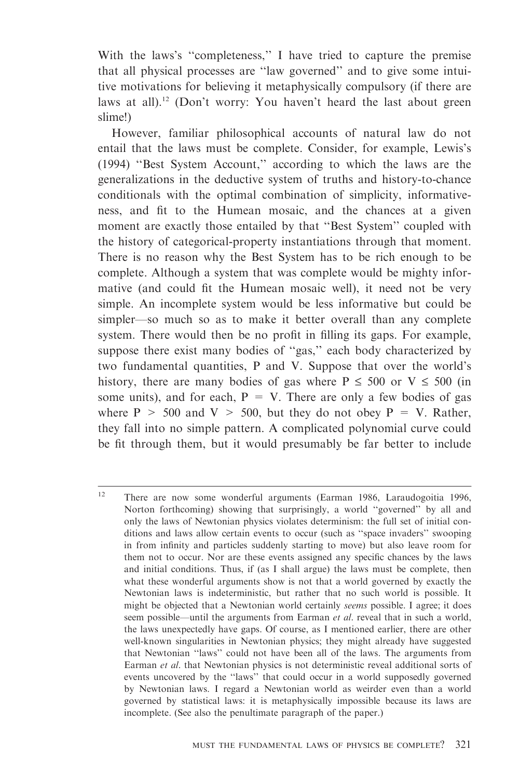With the laws's ''completeness,'' I have tried to capture the premise that all physical processes are ''law governed'' and to give some intuitive motivations for believing it metaphysically compulsory (if there are laws at all).<sup>12</sup> (Don't worry: You haven't heard the last about green slime!)

However, familiar philosophical accounts of natural law do not entail that the laws must be complete. Consider, for example, Lewis's (1994) ''Best System Account,'' according to which the laws are the generalizations in the deductive system of truths and history-to-chance conditionals with the optimal combination of simplicity, informativeness, and fit to the Humean mosaic, and the chances at a given moment are exactly those entailed by that ''Best System'' coupled with the history of categorical-property instantiations through that moment. There is no reason why the Best System has to be rich enough to be complete. Although a system that was complete would be mighty informative (and could fit the Humean mosaic well), it need not be very simple. An incomplete system would be less informative but could be simpler—so much so as to make it better overall than any complete system. There would then be no profit in filling its gaps. For example, suppose there exist many bodies of "gas," each body characterized by two fundamental quantities, P and V. Suppose that over the world's history, there are many bodies of gas where  $P \le 500$  or  $V \le 500$  (in some units), and for each,  $P = V$ . There are only a few bodies of gas where  $P > 500$  and  $V > 500$ , but they do not obey  $P = V$ . Rather, they fall into no simple pattern. A complicated polynomial curve could be fit through them, but it would presumably be far better to include

<sup>&</sup>lt;sup>12</sup> There are now some wonderful arguments (Earman 1986, Laraudogoitia 1996, Norton forthcoming) showing that surprisingly, a world ''governed'' by all and only the laws of Newtonian physics violates determinism: the full set of initial conditions and laws allow certain events to occur (such as ''space invaders'' swooping in from infinity and particles suddenly starting to move) but also leave room for them not to occur. Nor are these events assigned any specific chances by the laws and initial conditions. Thus, if (as I shall argue) the laws must be complete, then what these wonderful arguments show is not that a world governed by exactly the Newtonian laws is indeterministic, but rather that no such world is possible. It might be objected that a Newtonian world certainly seems possible. I agree; it does seem possible—until the arguments from Earman et al. reveal that in such a world, the laws unexpectedly have gaps. Of course, as I mentioned earlier, there are other well-known singularities in Newtonian physics; they might already have suggested that Newtonian ''laws'' could not have been all of the laws. The arguments from Earman et al. that Newtonian physics is not deterministic reveal additional sorts of events uncovered by the ''laws'' that could occur in a world supposedly governed by Newtonian laws. I regard a Newtonian world as weirder even than a world governed by statistical laws: it is metaphysically impossible because its laws are incomplete. (See also the penultimate paragraph of the paper.)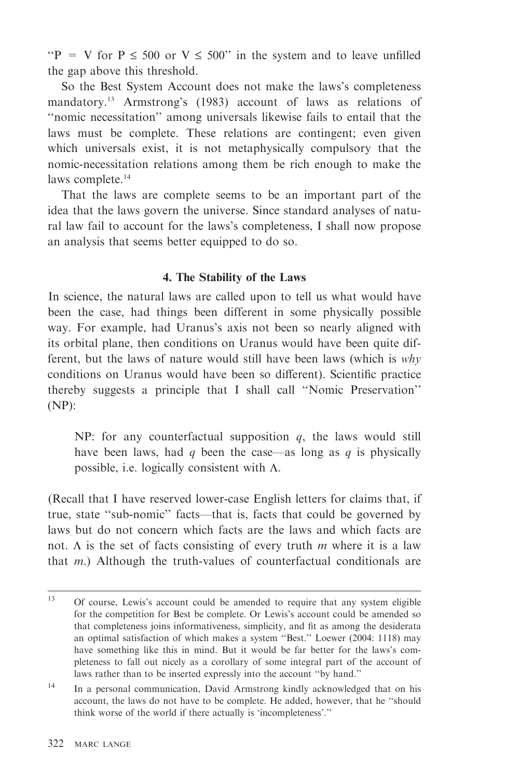" $P = V$  for  $P \le 500$  or  $V \le 500$ " in the system and to leave unfilled the gap above this threshold.

So the Best System Account does not make the laws's completeness mandatory.<sup>13</sup> Armstrong's (1983) account of laws as relations of ''nomic necessitation'' among universals likewise fails to entail that the laws must be complete. These relations are contingent; even given which universals exist, it is not metaphysically compulsory that the nomic-necessitation relations among them be rich enough to make the laws complete.<sup>14</sup>

That the laws are complete seems to be an important part of the idea that the laws govern the universe. Since standard analyses of natural law fail to account for the laws's completeness, I shall now propose an analysis that seems better equipped to do so.

#### 4. The Stability of the Laws

In science, the natural laws are called upon to tell us what would have been the case, had things been different in some physically possible way. For example, had Uranus's axis not been so nearly aligned with its orbital plane, then conditions on Uranus would have been quite different, but the laws of nature would still have been laws (which is why conditions on Uranus would have been so different). Scientific practice thereby suggests a principle that I shall call ''Nomic Preservation'' (NP):

NP: for any counterfactual supposition  $q$ , the laws would still have been laws, had q been the case—as long as q is physically possible, i.e. logically consistent with  $\Lambda$ .

(Recall that I have reserved lower-case English letters for claims that, if true, state ''sub-nomic'' facts—that is, facts that could be governed by laws but do not concern which facts are the laws and which facts are not.  $\Lambda$  is the set of facts consisting of every truth m where it is a law that m.) Although the truth-values of counterfactual conditionals are

<sup>&</sup>lt;sup>13</sup> Of course, Lewis's account could be amended to require that any system eligible for the competition for Best be complete. Or Lewis's account could be amended so that completeness joins informativeness, simplicity, and fit as among the desiderata an optimal satisfaction of which makes a system ''Best.'' Loewer (2004: 1118) may have something like this in mind. But it would be far better for the laws's completeness to fall out nicely as a corollary of some integral part of the account of laws rather than to be inserted expressly into the account ''by hand.''

<sup>&</sup>lt;sup>14</sup> In a personal communication, David Armstrong kindly acknowledged that on his account, the laws do not have to be complete. He added, however, that he ''should think worse of the world if there actually is 'incompleteness'.''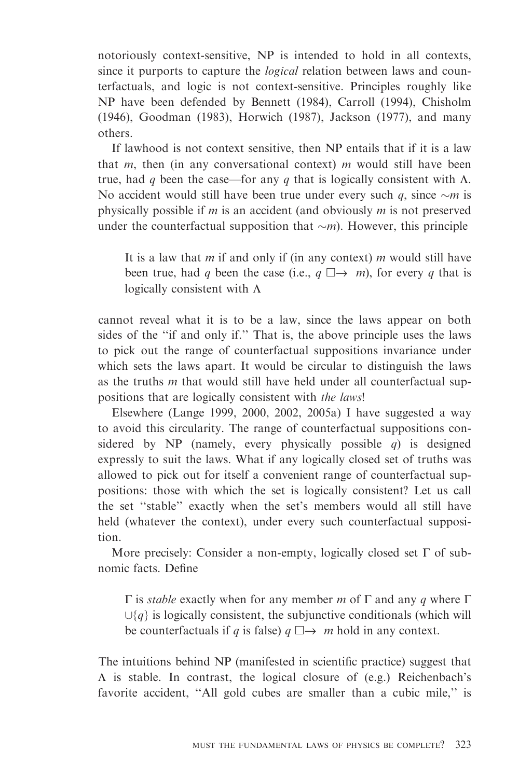notoriously context-sensitive, NP is intended to hold in all contexts, since it purports to capture the *logical* relation between laws and counterfactuals, and logic is not context-sensitive. Principles roughly like NP have been defended by Bennett (1984), Carroll (1994), Chisholm (1946), Goodman (1983), Horwich (1987), Jackson (1977), and many others.

If lawhood is not context sensitive, then NP entails that if it is a law that m, then (in any conversational context) m would still have been true, had q been the case—for any q that is logically consistent with  $\Lambda$ . No accident would still have been true under every such q, since  $\sim m$  is physically possible if  $m$  is an accident (and obviously  $m$  is not preserved under the counterfactual supposition that  $\sim m$ ). However, this principle

It is a law that  $m$  if and only if (in any context)  $m$  would still have been true, had q been the case (i.e.,  $q \Box \rightarrow m$ ), for every q that is logically consistent with  $\Lambda$ 

cannot reveal what it is to be a law, since the laws appear on both sides of the ''if and only if.'' That is, the above principle uses the laws to pick out the range of counterfactual suppositions invariance under which sets the laws apart. It would be circular to distinguish the laws as the truths  $m$  that would still have held under all counterfactual suppositions that are logically consistent with the laws!

Elsewhere (Lange 1999, 2000, 2002, 2005a) I have suggested a way to avoid this circularity. The range of counterfactual suppositions considered by NP (namely, every physically possible  $q$ ) is designed expressly to suit the laws. What if any logically closed set of truths was allowed to pick out for itself a convenient range of counterfactual suppositions: those with which the set is logically consistent? Let us call the set ''stable'' exactly when the set's members would all still have held (whatever the context), under every such counterfactual supposition.

More precisely: Consider a non-empty, logically closed set  $\Gamma$  of subnomic facts. Define

 $\Gamma$  is *stable* exactly when for any member m of  $\Gamma$  and any q where  $\Gamma$  $\cup \{q\}$  is logically consistent, the subjunctive conditionals (which will be counterfactuals if q is false)  $q \Box \rightarrow m$  hold in any context.

The intuitions behind NP (manifested in scientific practice) suggest that  $\Lambda$  is stable. In contrast, the logical closure of (e.g.) Reichenbach's favorite accident, "All gold cubes are smaller than a cubic mile," is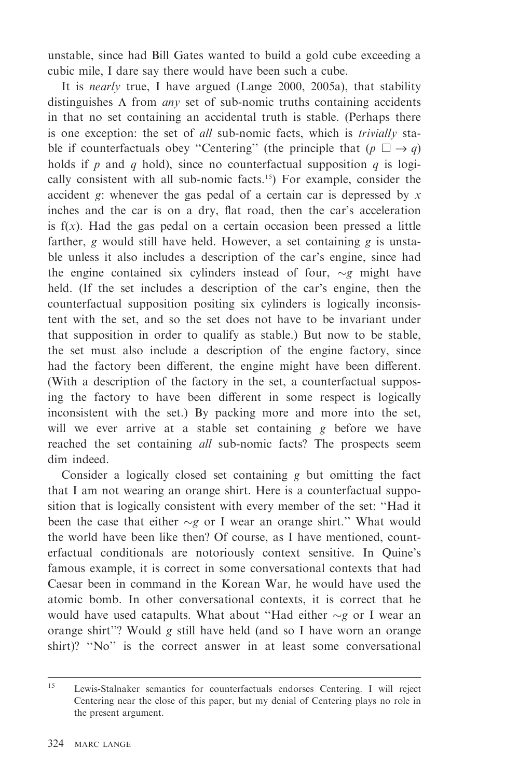unstable, since had Bill Gates wanted to build a gold cube exceeding a cubic mile, I dare say there would have been such a cube.

It is *nearly* true, I have argued (Lange 2000, 2005a), that stability distinguishes  $\Lambda$  from *any* set of sub-nomic truths containing accidents in that no set containing an accidental truth is stable. (Perhaps there is one exception: the set of all sub-nomic facts, which is trivially stable if counterfactuals obey "Centering" (the principle that  $(p \Box \rightarrow q)$ holds if p and q hold), since no counterfactual supposition q is logically consistent with all sub-nomic facts.15) For example, consider the accident g: whenever the gas pedal of a certain car is depressed by  $x$ inches and the car is on a dry, flat road, then the car's acceleration is  $f(x)$ . Had the gas pedal on a certain occasion been pressed a little farther, g would still have held. However, a set containing  $g$  is unstable unless it also includes a description of the car's engine, since had the engine contained six cylinders instead of four,  $\sim$ g might have held. (If the set includes a description of the car's engine, then the counterfactual supposition positing six cylinders is logically inconsistent with the set, and so the set does not have to be invariant under that supposition in order to qualify as stable.) But now to be stable, the set must also include a description of the engine factory, since had the factory been different, the engine might have been different. (With a description of the factory in the set, a counterfactual supposing the factory to have been different in some respect is logically inconsistent with the set.) By packing more and more into the set, will we ever arrive at a stable set containing g before we have reached the set containing all sub-nomic facts? The prospects seem dim indeed.

Consider a logically closed set containing g but omitting the fact that I am not wearing an orange shirt. Here is a counterfactual supposition that is logically consistent with every member of the set: ''Had it been the case that either  $\sim$ g or I wear an orange shirt." What would the world have been like then? Of course, as I have mentioned, counterfactual conditionals are notoriously context sensitive. In Quine's famous example, it is correct in some conversational contexts that had Caesar been in command in the Korean War, he would have used the atomic bomb. In other conversational contexts, it is correct that he would have used catapults. What about "Had either  $\sim$ g or I wear an orange shirt''? Would g still have held (and so I have worn an orange shirt)? ''No'' is the correct answer in at least some conversational

<sup>15</sup> Lewis-Stalnaker semantics for counterfactuals endorses Centering. I will reject Centering near the close of this paper, but my denial of Centering plays no role in the present argument.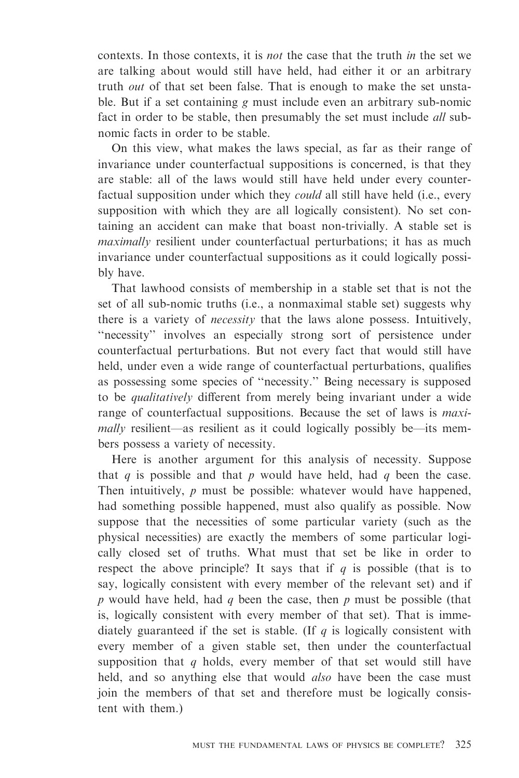contexts. In those contexts, it is not the case that the truth in the set we are talking about would still have held, had either it or an arbitrary truth *out* of that set been false. That is enough to make the set unstable. But if a set containing g must include even an arbitrary sub-nomic fact in order to be stable, then presumably the set must include all subnomic facts in order to be stable.

On this view, what makes the laws special, as far as their range of invariance under counterfactual suppositions is concerned, is that they are stable: all of the laws would still have held under every counterfactual supposition under which they *could* all still have held (i.e., every supposition with which they are all logically consistent). No set containing an accident can make that boast non-trivially. A stable set is maximally resilient under counterfactual perturbations; it has as much invariance under counterfactual suppositions as it could logically possibly have.

That lawhood consists of membership in a stable set that is not the set of all sub-nomic truths (i.e., a nonmaximal stable set) suggests why there is a variety of necessity that the laws alone possess. Intuitively, "necessity" involves an especially strong sort of persistence under counterfactual perturbations. But not every fact that would still have held, under even a wide range of counterfactual perturbations, qualifies as possessing some species of ''necessity.'' Being necessary is supposed to be *qualitatively* different from merely being invariant under a wide range of counterfactual suppositions. Because the set of laws is *maxi*mally resilient—as resilient as it could logically possibly be—its members possess a variety of necessity.

Here is another argument for this analysis of necessity. Suppose that q is possible and that p would have held, had q been the case. Then intuitively, p must be possible: whatever would have happened, had something possible happened, must also qualify as possible. Now suppose that the necessities of some particular variety (such as the physical necessities) are exactly the members of some particular logically closed set of truths. What must that set be like in order to respect the above principle? It says that if  $q$  is possible (that is to say, logically consistent with every member of the relevant set) and if p would have held, had q been the case, then p must be possible (that is, logically consistent with every member of that set). That is immediately guaranteed if the set is stable. (If  $q$  is logically consistent with every member of a given stable set, then under the counterfactual supposition that  $q$  holds, every member of that set would still have held, and so anything else that would *also* have been the case must join the members of that set and therefore must be logically consistent with them.)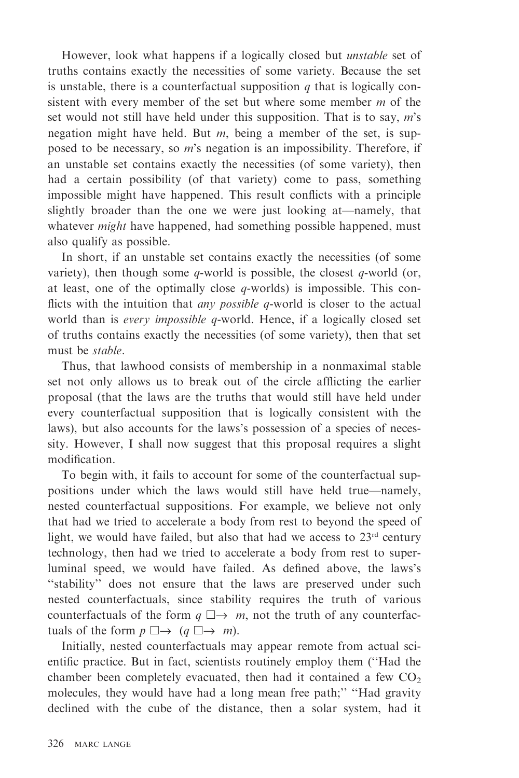However, look what happens if a logically closed but unstable set of truths contains exactly the necessities of some variety. Because the set is unstable, there is a counterfactual supposition  $q$  that is logically consistent with every member of the set but where some member  $m$  of the set would not still have held under this supposition. That is to say,  $m$ 's negation might have held. But  $m$ , being a member of the set, is supposed to be necessary, so  $m$ 's negation is an impossibility. Therefore, if an unstable set contains exactly the necessities (of some variety), then had a certain possibility (of that variety) come to pass, something impossible might have happened. This result conflicts with a principle slightly broader than the one we were just looking at—namely, that whatever *might* have happened, had something possible happened, must also qualify as possible.

In short, if an unstable set contains exactly the necessities (of some variety), then though some q-world is possible, the closest q-world (or, at least, one of the optimally close  $q$ -worlds) is impossible. This conflicts with the intuition that *any possible q*-world is closer to the actual world than is *every impossible q*-world. Hence, if a logically closed set of truths contains exactly the necessities (of some variety), then that set must be stable.

Thus, that lawhood consists of membership in a nonmaximal stable set not only allows us to break out of the circle afflicting the earlier proposal (that the laws are the truths that would still have held under every counterfactual supposition that is logically consistent with the laws), but also accounts for the laws's possession of a species of necessity. However, I shall now suggest that this proposal requires a slight modification.

To begin with, it fails to account for some of the counterfactual suppositions under which the laws would still have held true—namely, nested counterfactual suppositions. For example, we believe not only that had we tried to accelerate a body from rest to beyond the speed of light, we would have failed, but also that had we access to  $23<sup>rd</sup>$  century technology, then had we tried to accelerate a body from rest to superluminal speed, we would have failed. As defined above, the laws's "stability" does not ensure that the laws are preserved under such nested counterfactuals, since stability requires the truth of various counterfactuals of the form  $q \Box \rightarrow m$ , not the truth of any counterfactuals of the form  $p \square \rightarrow (q \square \rightarrow m)$ .

Initially, nested counterfactuals may appear remote from actual scientific practice. But in fact, scientists routinely employ them (''Had the chamber been completely evacuated, then had it contained a few  $CO<sub>2</sub>$ molecules, they would have had a long mean free path;" "Had gravity declined with the cube of the distance, then a solar system, had it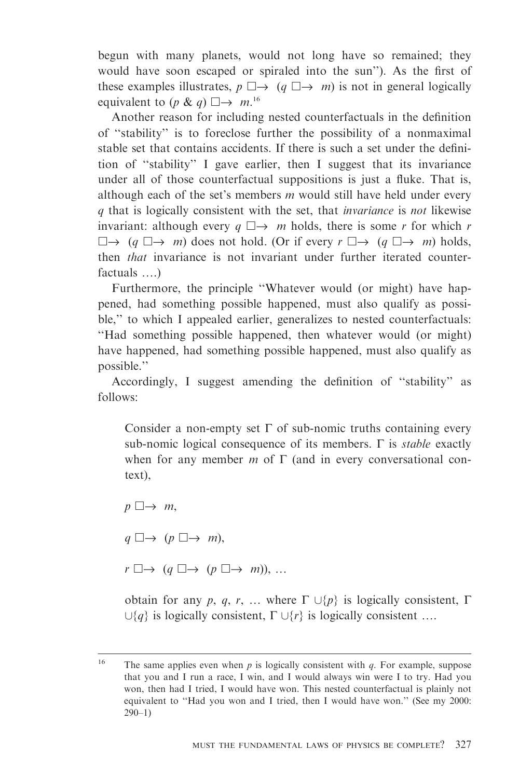begun with many planets, would not long have so remained; they would have soon escaped or spiraled into the sun''). As the first of these examples illustrates,  $p \square \rightarrow (q \square \rightarrow m)$  is not in general logically equivalent to  $(p \& q) \square \rightarrow m$ .<sup>16</sup>

Another reason for including nested counterfactuals in the definition of ''stability'' is to foreclose further the possibility of a nonmaximal stable set that contains accidents. If there is such a set under the definition of ''stability'' I gave earlier, then I suggest that its invariance under all of those counterfactual suppositions is just a fluke. That is, although each of the set's members  $m$  would still have held under every q that is logically consistent with the set, that invariance is not likewise invariant: although every  $q \Box \rightarrow m$  holds, there is some r for which r  $\Box \rightarrow (q \Box \rightarrow m)$  does not hold. (Or if every  $r \Box \rightarrow (q \Box \rightarrow m)$  holds, then *that* invariance is not invariant under further iterated counterfactuals ….)

Furthermore, the principle ''Whatever would (or might) have happened, had something possible happened, must also qualify as possible,'' to which I appealed earlier, generalizes to nested counterfactuals: ''Had something possible happened, then whatever would (or might) have happened, had something possible happened, must also qualify as possible.''

Accordingly, I suggest amending the definition of ''stability'' as follows:

Consider a non-empty set  $\Gamma$  of sub-nomic truths containing every sub-nomic logical consequence of its members.  $\Gamma$  is *stable* exactly when for any member  $m$  of  $\Gamma$  (and in every conversational context),

 $p \Box \rightarrow m$ ,  $q \Box \rightarrow (p \Box \rightarrow m),$  $r \Box \rightarrow (q \Box \rightarrow (p \Box \rightarrow m)), \ldots$ 

obtain for any p, q, r, ... where  $\Gamma \cup \{p\}$  is logically consistent,  $\Gamma$  $\cup \{q\}$  is logically consistent,  $\Gamma \cup \{r\}$  is logically consistent ...

<sup>&</sup>lt;sup>16</sup> The same applies even when p is logically consistent with q. For example, suppose that you and I run a race, I win, and I would always win were I to try. Had you won, then had I tried, I would have won. This nested counterfactual is plainly not equivalent to ''Had you won and I tried, then I would have won.'' (See my 2000: 290–1)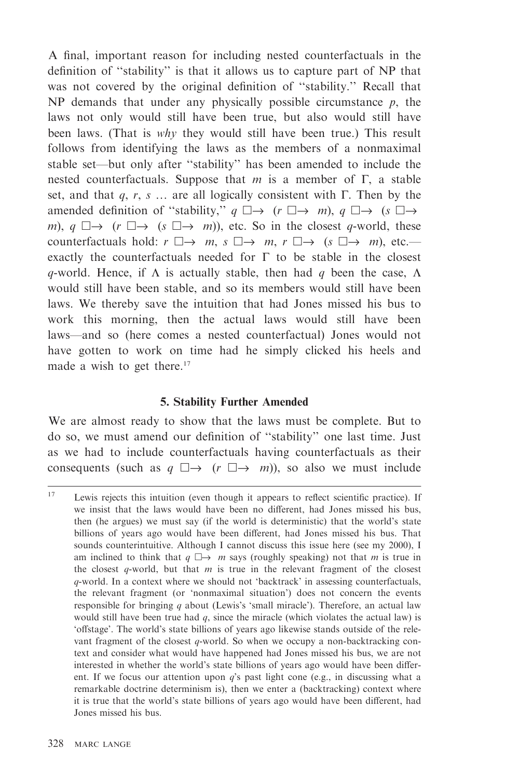A final, important reason for including nested counterfactuals in the definition of ''stability'' is that it allows us to capture part of NP that was not covered by the original definition of ''stability.'' Recall that NP demands that under any physically possible circumstance  $p$ , the laws not only would still have been true, but also would still have been laws. (That is why they would still have been true.) This result follows from identifying the laws as the members of a nonmaximal stable set—but only after ''stability'' has been amended to include the nested counterfactuals. Suppose that m is a member of  $\Gamma$ , a stable set, and that q, r, s ... are all logically consistent with  $\Gamma$ . Then by the amended definition of "stability,"  $q \Box \rightarrow (r \Box \rightarrow m)$ ,  $q \Box \rightarrow (s \Box \rightarrow$ m),  $q \Box \rightarrow (r \Box \rightarrow (s \Box \rightarrow m))$ , etc. So in the closest q-world, these counterfactuals hold:  $r \Box \rightarrow m$ ,  $s \Box \rightarrow m$ ,  $r \Box \rightarrow (s \Box \rightarrow m)$ , etc. exactly the counterfactuals needed for  $\Gamma$  to be stable in the closest q-world. Hence, if  $\Lambda$  is actually stable, then had q been the case,  $\Lambda$ would still have been stable, and so its members would still have been laws. We thereby save the intuition that had Jones missed his bus to work this morning, then the actual laws would still have been laws—and so (here comes a nested counterfactual) Jones would not have gotten to work on time had he simply clicked his heels and made a wish to get there.<sup>17</sup>

### 5. Stability Further Amended

We are almost ready to show that the laws must be complete. But to do so, we must amend our definition of ''stability'' one last time. Just as we had to include counterfactuals having counterfactuals as their consequents (such as  $q \square \rightarrow (r \square \rightarrow m)$ ), so also we must include

<sup>&</sup>lt;sup>17</sup> Lewis rejects this intuition (even though it appears to reflect scientific practice). If we insist that the laws would have been no different, had Jones missed his bus, then (he argues) we must say (if the world is deterministic) that the world's state billions of years ago would have been different, had Jones missed his bus. That sounds counterintuitive. Although I cannot discuss this issue here (see my 2000), I am inclined to think that  $q \Box \rightarrow m$  says (roughly speaking) not that m is true in the closest  $q$ -world, but that  $m$  is true in the relevant fragment of the closest q-world. In a context where we should not 'backtrack' in assessing counterfactuals, the relevant fragment (or 'nonmaximal situation') does not concern the events responsible for bringing  $q$  about (Lewis's 'small miracle'). Therefore, an actual law would still have been true had  $q$ , since the miracle (which violates the actual law) is 'offstage'. The world's state billions of years ago likewise stands outside of the relevant fragment of the closest  $q$ -world. So when we occupy a non-backtracking context and consider what would have happened had Jones missed his bus, we are not interested in whether the world's state billions of years ago would have been different. If we focus our attention upon  $q$ 's past light cone (e.g., in discussing what a remarkable doctrine determinism is), then we enter a (backtracking) context where it is true that the world's state billions of years ago would have been different, had Jones missed his bus.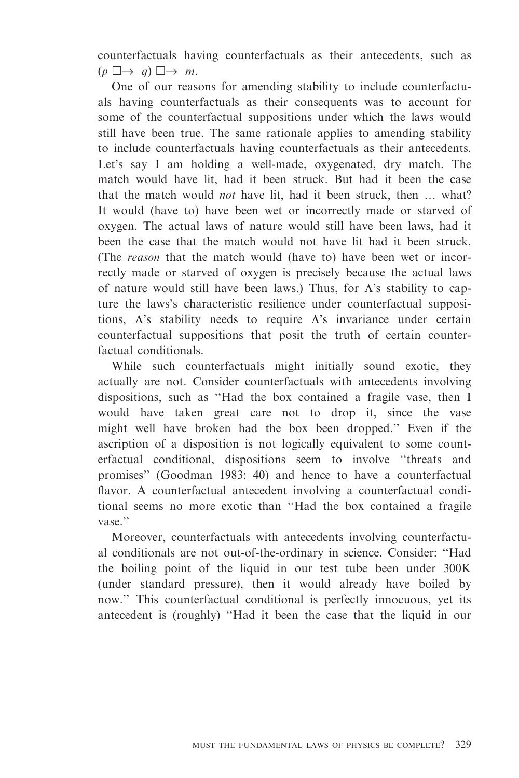counterfactuals having counterfactuals as their antecedents, such as  $(p \Box \rightarrow q) \Box \rightarrow m$ .

One of our reasons for amending stability to include counterfactuals having counterfactuals as their consequents was to account for some of the counterfactual suppositions under which the laws would still have been true. The same rationale applies to amending stability to include counterfactuals having counterfactuals as their antecedents. Let's say I am holding a well-made, oxygenated, dry match. The match would have lit, had it been struck. But had it been the case that the match would *not* have lit, had it been struck, then ... what? It would (have to) have been wet or incorrectly made or starved of oxygen. The actual laws of nature would still have been laws, had it been the case that the match would not have lit had it been struck. (The reason that the match would (have to) have been wet or incorrectly made or starved of oxygen is precisely because the actual laws of nature would still have been laws.) Thus, for  $\Lambda$ 's stability to capture the laws's characteristic resilience under counterfactual suppositions,  $\Lambda$ 's stability needs to require  $\Lambda$ 's invariance under certain counterfactual suppositions that posit the truth of certain counterfactual conditionals.

While such counterfactuals might initially sound exotic, they actually are not. Consider counterfactuals with antecedents involving dispositions, such as ''Had the box contained a fragile vase, then I would have taken great care not to drop it, since the vase might well have broken had the box been dropped.'' Even if the ascription of a disposition is not logically equivalent to some counterfactual conditional, dispositions seem to involve ''threats and promises'' (Goodman 1983: 40) and hence to have a counterfactual flavor. A counterfactual antecedent involving a counterfactual conditional seems no more exotic than ''Had the box contained a fragile vase.''

Moreover, counterfactuals with antecedents involving counterfactual conditionals are not out-of-the-ordinary in science. Consider: ''Had the boiling point of the liquid in our test tube been under 300K (under standard pressure), then it would already have boiled by now.'' This counterfactual conditional is perfectly innocuous, yet its antecedent is (roughly) ''Had it been the case that the liquid in our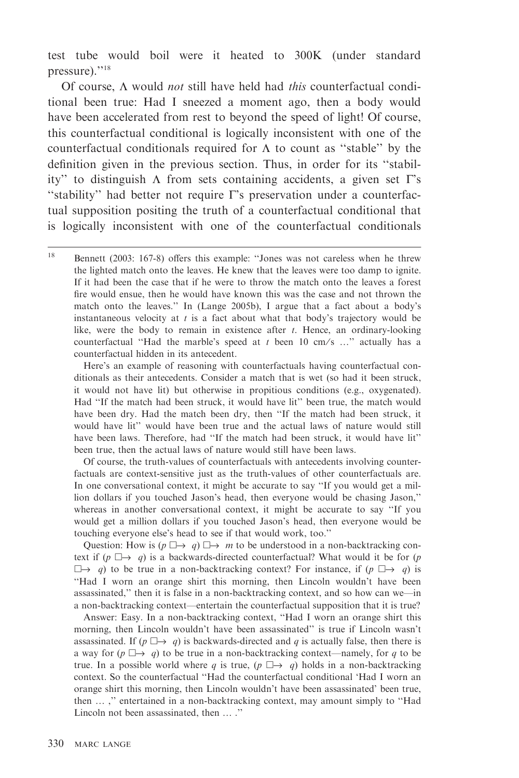test tube would boil were it heated to 300K (under standard pressure)."<sup>18</sup>

Of course,  $\Lambda$  would *not* still have held had *this* counterfactual conditional been true: Had I sneezed a moment ago, then a body would have been accelerated from rest to beyond the speed of light! Of course, this counterfactual conditional is logically inconsistent with one of the counterfactual conditionals required for  $\Lambda$  to count as "stable" by the definition given in the previous section. Thus, in order for its ''stability" to distinguish  $\Lambda$  from sets containing accidents, a given set  $\Gamma$ 's "stability" had better not require  $\Gamma$ 's preservation under a counterfactual supposition positing the truth of a counterfactual conditional that is logically inconsistent with one of the counterfactual conditionals

Here's an example of reasoning with counterfactuals having counterfactual conditionals as their antecedents. Consider a match that is wet (so had it been struck, it would not have lit) but otherwise in propitious conditions (e.g., oxygenated). Had ''If the match had been struck, it would have lit'' been true, the match would have been dry. Had the match been dry, then ''If the match had been struck, it would have lit'' would have been true and the actual laws of nature would still have been laws. Therefore, had ''If the match had been struck, it would have lit'' been true, then the actual laws of nature would still have been laws.

Of course, the truth-values of counterfactuals with antecedents involving counterfactuals are context-sensitive just as the truth-values of other counterfactuals are. In one conversational context, it might be accurate to say ''If you would get a million dollars if you touched Jason's head, then everyone would be chasing Jason,'' whereas in another conversational context, it might be accurate to say ''If you would get a million dollars if you touched Jason's head, then everyone would be touching everyone else's head to see if that would work, too.''

Question: How is  $(p \square \rightarrow q) \square$  m to be understood in a non-backtracking context if  $(p \Box \rightarrow q)$  is a backwards-directed counterfactual? What would it be for  $(p \Box \rightarrow q)$  $\Box \rightarrow q$ ) to be true in a non-backtracking context? For instance, if  $(p \Box \rightarrow q)$  is ''Had I worn an orange shirt this morning, then Lincoln wouldn't have been assassinated,'' then it is false in a non-backtracking context, and so how can we—in a non-backtracking context—entertain the counterfactual supposition that it is true?

Answer: Easy. In a non-backtracking context, ''Had I worn an orange shirt this morning, then Lincoln wouldn't have been assassinated'' is true if Lincoln wasn't assassinated. If  $(p \rightharpoonup q)$  is backwards-directed and q is actually false, then there is a way for  $(p \Box \rightarrow q)$  to be true in a non-backtracking context—namely, for q to be true. In a possible world where q is true,  $(p \Box \rightarrow q)$  holds in a non-backtracking context. So the counterfactual ''Had the counterfactual conditional 'Had I worn an orange shirt this morning, then Lincoln wouldn't have been assassinated' been true, then … ,'' entertained in a non-backtracking context, may amount simply to ''Had Lincoln not been assassinated, then … .''

<sup>18</sup> Bennett (2003: 167-8) offers this example: ''Jones was not careless when he threw the lighted match onto the leaves. He knew that the leaves were too damp to ignite. If it had been the case that if he were to throw the match onto the leaves a forest fire would ensue, then he would have known this was the case and not thrown the match onto the leaves.'' In (Lange 2005b), I argue that a fact about a body's instantaneous velocity at  $t$  is a fact about what that body's trajectory would be like, were the body to remain in existence after  $t$ . Hence, an ordinary-looking counterfactual "Had the marble's speed at  $t$  been 10 cm/s ..." actually has a counterfactual hidden in its antecedent.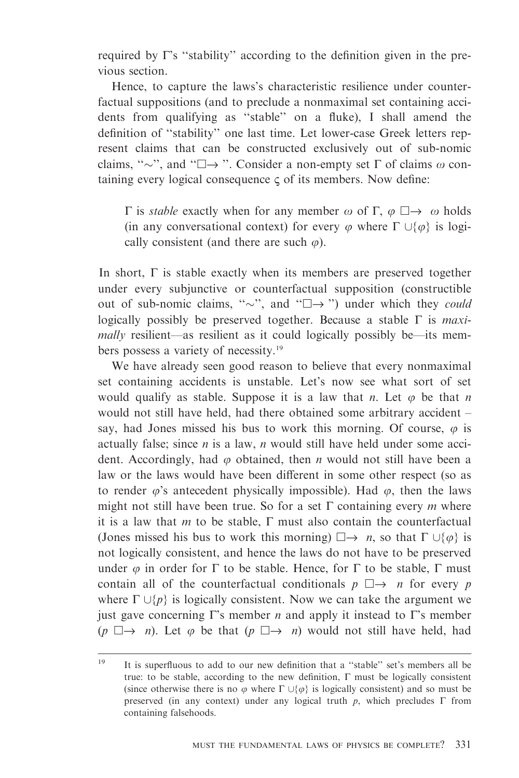required by  $\Gamma$ 's "stability" according to the definition given in the previous section.

Hence, to capture the laws's characteristic resilience under counterfactual suppositions (and to preclude a nonmaximal set containing accidents from qualifying as ''stable'' on a fluke), I shall amend the definition of ''stability'' one last time. Let lower-case Greek letters represent claims that can be constructed exclusively out of sub-nomic claims, " $\sim$ ", and " $\Box \rightarrow$ ". Consider a non-empty set  $\Gamma$  of claims  $\omega$  containing every logical consequence  $\varsigma$  of its members. Now define:

 $\Gamma$  is *stable* exactly when for any member  $\omega$  of  $\Gamma$ ,  $\varphi \square \rightarrow \omega$  holds (in any conversational context) for every  $\varphi$  where  $\Gamma \cup \{\varphi\}$  is logically consistent (and there are such  $\varphi$ ).

In short,  $\Gamma$  is stable exactly when its members are preserved together under every subjunctive or counterfactual supposition (constructible out of sub-nomic claims, " $\sim$ ", and " $\Box \rightarrow$ ") under which they could logically possibly be preserved together. Because a stable  $\Gamma$  is *maxi*mally resilient—as resilient as it could logically possibly be—its members possess a variety of necessity.19

We have already seen good reason to believe that every nonmaximal set containing accidents is unstable. Let's now see what sort of set would qualify as stable. Suppose it is a law that n. Let  $\varphi$  be that n would not still have held, had there obtained some arbitrary accident – say, had Jones missed his bus to work this morning. Of course,  $\varphi$  is actually false; since  $n$  is a law,  $n$  would still have held under some accident. Accordingly, had  $\varphi$  obtained, then *n* would not still have been a law or the laws would have been different in some other respect (so as to render  $\varphi$ 's antecedent physically impossible). Had  $\varphi$ , then the laws might not still have been true. So for a set  $\Gamma$  containing every m where it is a law that m to be stable.  $\Gamma$  must also contain the counterfactual (Jones missed his bus to work this morning)  $\Box \rightarrow n$ , so that  $\Gamma \cup {\varphi}$  is not logically consistent, and hence the laws do not have to be preserved under  $\varphi$  in order for  $\Gamma$  to be stable. Hence, for  $\Gamma$  to be stable,  $\Gamma$  must contain all of the counterfactual conditionals  $p \Box \rightarrow n$  for every p where  $\Gamma \cup \{p\}$  is logically consistent. Now we can take the argument we just gave concerning  $\Gamma$ 's member *n* and apply it instead to  $\Gamma$ 's member  $(p \Box \rightarrow n)$ . Let  $\varphi$  be that  $(p \Box \rightarrow n)$  would not still have held, had

<sup>19</sup> It is superfluous to add to our new definition that a ''stable'' set's members all be true: to be stable, according to the new definition,  $\Gamma$  must be logically consistent (since otherwise there is no  $\varphi$  where  $\Gamma \cup {\varphi}$  is logically consistent) and so must be preserved (in any context) under any logical truth  $p$ , which precludes  $\Gamma$  from containing falsehoods.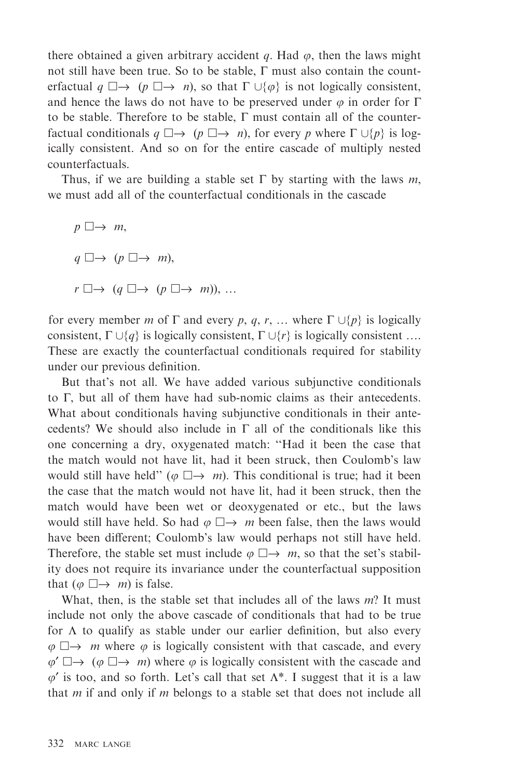there obtained a given arbitrary accident q. Had  $\varphi$ , then the laws might not still have been true. So to be stable,  $\Gamma$  must also contain the counterfactual  $q \Box \rightarrow (p \Box \rightarrow n)$ , so that  $\Gamma \cup \{\varphi\}$  is not logically consistent, and hence the laws do not have to be preserved under  $\varphi$  in order for  $\Gamma$ to be stable. Therefore to be stable,  $\Gamma$  must contain all of the counterfactual conditionals  $q \Box \rightarrow (p \Box \rightarrow n)$ , for every p where  $\Gamma \cup \{p\}$  is logically consistent. And so on for the entire cascade of multiply nested counterfactuals.

Thus, if we are building a stable set  $\Gamma$  by starting with the laws m, we must add all of the counterfactual conditionals in the cascade

$$
p \Box \rightarrow m,
$$
  
\n
$$
q \Box \rightarrow (p \Box \rightarrow m),
$$
  
\n
$$
r \Box \rightarrow (q \Box \rightarrow (p \Box \rightarrow m)), ...
$$

for every member m of  $\Gamma$  and every p, q, r, ... where  $\Gamma \cup \{p\}$  is logically consistent,  $\Gamma \cup \{q\}$  is logically consistent,  $\Gamma \cup \{r\}$  is logically consistent ... These are exactly the counterfactual conditionals required for stability under our previous definition.

But that's not all. We have added various subjunctive conditionals to  $\Gamma$ , but all of them have had sub-nomic claims as their antecedents. What about conditionals having subjunctive conditionals in their antecedents? We should also include in  $\Gamma$  all of the conditionals like this one concerning a dry, oxygenated match: ''Had it been the case that the match would not have lit, had it been struck, then Coulomb's law would still have held" ( $\varphi \Box \rightarrow m$ ). This conditional is true; had it been the case that the match would not have lit, had it been struck, then the match would have been wet or deoxygenated or etc., but the laws would still have held. So had  $\varphi \Box \rightarrow m$  been false, then the laws would have been different; Coulomb's law would perhaps not still have held. Therefore, the stable set must include  $\varphi \Box \rightarrow m$ , so that the set's stability does not require its invariance under the counterfactual supposition that  $(\varphi \Box \rightarrow m)$  is false.

What, then, is the stable set that includes all of the laws  $m$ ? It must include not only the above cascade of conditionals that had to be true for  $\Lambda$  to qualify as stable under our earlier definition, but also every  $\varphi \Box \rightarrow m$  where  $\varphi$  is logically consistent with that cascade, and every  $\varphi' \Box \rightarrow (\varphi \Box \rightarrow m)$  where  $\varphi$  is logically consistent with the cascade and  $\varphi'$  is too, and so forth. Let's call that set  $\Lambda^*$ . I suggest that it is a law that  $m$  if and only if  $m$  belongs to a stable set that does not include all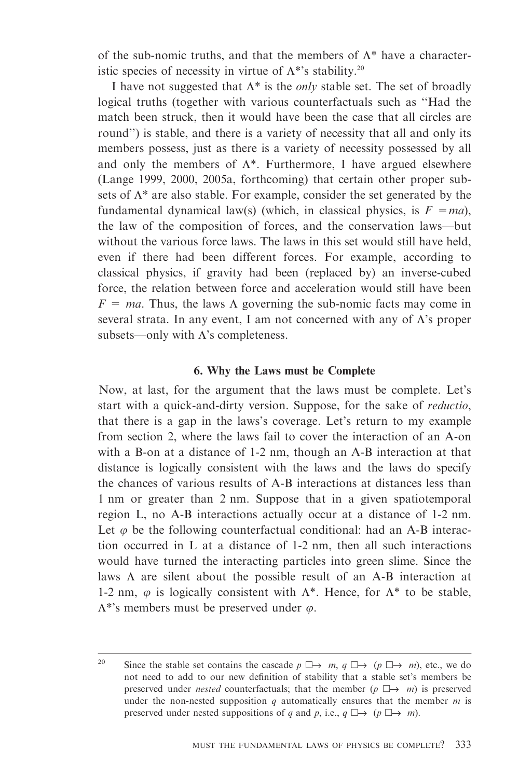of the sub-nomic truths, and that the members of  $\Lambda^*$  have a characteristic species of necessity in virtue of  $\Lambda^*$ 's stability.<sup>20</sup>

I have not suggested that  $\Lambda^*$  is the *only* stable set. The set of broadly logical truths (together with various counterfactuals such as ''Had the match been struck, then it would have been the case that all circles are round'') is stable, and there is a variety of necessity that all and only its members possess, just as there is a variety of necessity possessed by all and only the members of  $\Lambda^*$ . Furthermore, I have argued elsewhere (Lange 1999, 2000, 2005a, forthcoming) that certain other proper subsets of  $\Lambda^*$  are also stable. For example, consider the set generated by the fundamental dynamical law(s) (which, in classical physics, is  $F = ma$ ), the law of the composition of forces, and the conservation laws—but without the various force laws. The laws in this set would still have held, even if there had been different forces. For example, according to classical physics, if gravity had been (replaced by) an inverse-cubed force, the relation between force and acceleration would still have been  $F = ma$ . Thus, the laws  $\Lambda$  governing the sub-nomic facts may come in several strata. In any event, I am not concerned with any of  $\Lambda$ 's proper subsets—only with  $\Lambda$ 's completeness.

#### 6. Why the Laws must be Complete

Now, at last, for the argument that the laws must be complete. Let's start with a quick-and-dirty version. Suppose, for the sake of *reductio*, that there is a gap in the laws's coverage. Let's return to my example from section 2, where the laws fail to cover the interaction of an A-on with a B-on at a distance of 1-2 nm, though an A-B interaction at that distance is logically consistent with the laws and the laws do specify the chances of various results of A-B interactions at distances less than 1 nm or greater than 2 nm. Suppose that in a given spatiotemporal region L, no A-B interactions actually occur at a distance of 1-2 nm. Let  $\varphi$  be the following counterfactual conditional: had an A-B interaction occurred in L at a distance of 1-2 nm, then all such interactions would have turned the interacting particles into green slime. Since the laws  $\Lambda$  are silent about the possible result of an A-B interaction at 1-2 nm,  $\varphi$  is logically consistent with  $\Lambda^*$ . Hence, for  $\Lambda^*$  to be stable,  $\Lambda^*$ 's members must be preserved under  $\varphi$ .

<sup>&</sup>lt;sup>20</sup> Since the stable set contains the cascade  $p \square \rightarrow m$ ,  $q \square \rightarrow (p \square \rightarrow m)$ , etc., we do not need to add to our new definition of stability that a stable set's members be preserved under *nested* counterfactuals; that the member  $(p \Box \rightarrow m)$  is preserved under the non-nested supposition  $q$  automatically ensures that the member  $m$  is preserved under nested suppositions of q and p, i.e.,  $q \Box \rightarrow (p \Box \rightarrow m)$ .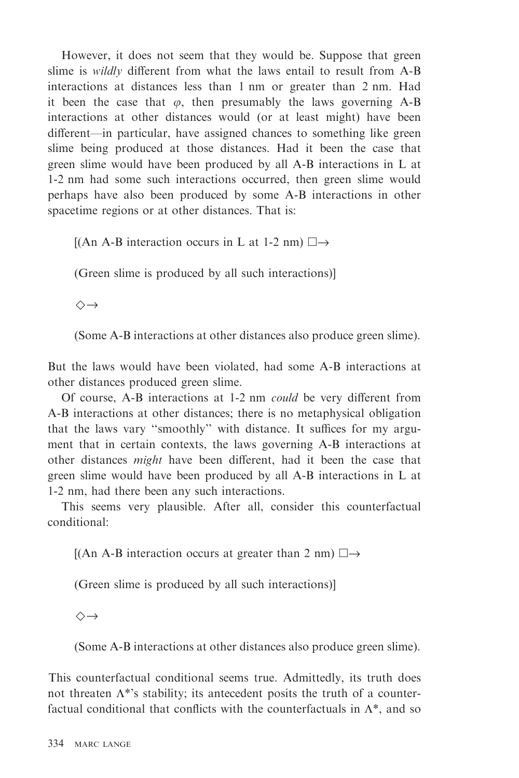However, it does not seem that they would be. Suppose that green slime is *wildly* different from what the laws entail to result from A-B interactions at distances less than 1 nm or greater than 2 nm. Had it been the case that  $\varphi$ , then presumably the laws governing A-B interactions at other distances would (or at least might) have been different—in particular, have assigned chances to something like green slime being produced at those distances. Had it been the case that green slime would have been produced by all A-B interactions in L at 1-2 nm had some such interactions occurred, then green slime would perhaps have also been produced by some A-B interactions in other spacetime regions or at other distances. That is:

[(An A-B interaction occurs in L at 1-2 nm)  $\Box \rightarrow$ 

(Green slime is produced by all such interactions)]

 $\diamond$   $\rightarrow$ 

(Some A-B interactions at other distances also produce green slime).

But the laws would have been violated, had some A-B interactions at other distances produced green slime.

Of course, A-B interactions at 1-2 nm could be very different from A-B interactions at other distances; there is no metaphysical obligation that the laws vary ''smoothly'' with distance. It suffices for my argument that in certain contexts, the laws governing A-B interactions at other distances might have been different, had it been the case that green slime would have been produced by all A-B interactions in L at 1-2 nm, had there been any such interactions.

This seems very plausible. After all, consider this counterfactual conditional:

[(An A-B interaction occurs at greater than 2 nm)  $\Box \rightarrow$ 

(Green slime is produced by all such interactions)]

 $\diamond \rightarrow$ 

(Some A-B interactions at other distances also produce green slime).

This counterfactual conditional seems true. Admittedly, its truth does not threaten  $\Lambda^*$ 's stability; its antecedent posits the truth of a counterfactual conditional that conflicts with the counterfactuals in  $\Lambda^*$ , and so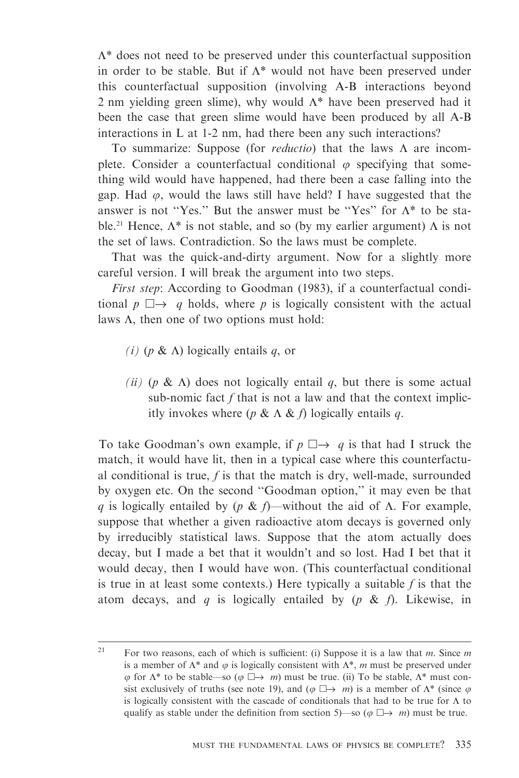$\Lambda^*$  does not need to be preserved under this counterfactual supposition in order to be stable. But if  $\Lambda^*$  would not have been preserved under this counterfactual supposition (involving A-B interactions beyond 2 nm yielding green slime), why would  $\Lambda^*$  have been preserved had it been the case that green slime would have been produced by all A-B interactions in L at 1-2 nm, had there been any such interactions?

To summarize: Suppose (for *reductio*) that the laws  $\Lambda$  are incomplete. Consider a counterfactual conditional  $\varphi$  specifying that something wild would have happened, had there been a case falling into the gap. Had  $\varphi$ , would the laws still have held? I have suggested that the answer is not "Yes." But the answer must be "Yes" for  $\Lambda^*$  to be stable.<sup>21</sup> Hence,  $\Lambda^*$  is not stable, and so (by my earlier argument)  $\Lambda$  is not the set of laws. Contradiction. So the laws must be complete.

That was the quick-and-dirty argument. Now for a slightly more careful version. I will break the argument into two steps.

First step: According to Goodman (1983), if a counterfactual conditional  $p \Box \rightarrow q$  holds, where p is logically consistent with the actual laws  $\Lambda$ , then one of two options must hold:

- (i) (p &  $\Lambda$ ) logically entails q, or
- (ii) (p &  $\Lambda$ ) does not logically entail q, but there is some actual sub-nomic fact  $f$  that is not a law and that the context implicitly invokes where  $(p \& \Lambda \& f)$  logically entails q.

To take Goodman's own example, if  $p \Box \rightarrow q$  is that had I struck the match, it would have lit, then in a typical case where this counterfactual conditional is true,  $f$  is that the match is dry, well-made, surrounded by oxygen etc. On the second ''Goodman option,'' it may even be that q is logically entailed by (p & f)—without the aid of  $\Lambda$ . For example, suppose that whether a given radioactive atom decays is governed only by irreducibly statistical laws. Suppose that the atom actually does decay, but I made a bet that it wouldn't and so lost. Had I bet that it would decay, then I would have won. (This counterfactual conditional is true in at least some contexts.) Here typically a suitable  $f$  is that the atom decays, and q is logically entailed by  $(p \& f)$ . Likewise, in

<sup>&</sup>lt;sup>21</sup> For two reasons, each of which is sufficient: (i) Suppose it is a law that m. Since m is a member of  $\Lambda^*$  and  $\varphi$  is logically consistent with  $\Lambda^*$ , m must be preserved under  $\varphi$  for  $\Lambda^*$  to be stable—so  $(\varphi \Box \rightarrow m)$  must be true. (ii) To be stable,  $\Lambda^*$  must consist exclusively of truths (see note 19), and  $(\varphi \Box \rightarrow m)$  is a member of  $\Lambda^*$  (since  $\varphi$ is logically consistent with the cascade of conditionals that had to be true for  $\Lambda$  to qualify as stable under the definition from section 5)—so ( $\varphi \Box \rightarrow m$ ) must be true.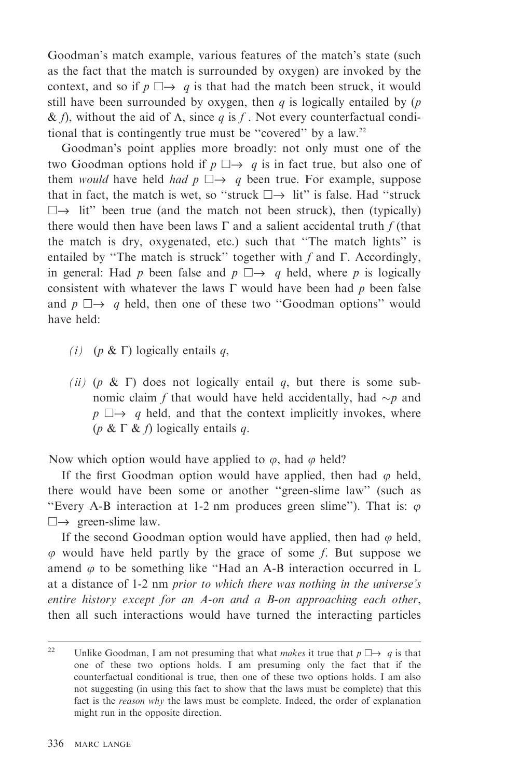Goodman's match example, various features of the match's state (such as the fact that the match is surrounded by oxygen) are invoked by the context, and so if  $p \square \rightarrow q$  is that had the match been struck, it would still have been surrounded by oxygen, then  $q$  is logically entailed by  $(p)$ & f), without the aid of  $\Lambda$ , since q is f. Not every counterfactual conditional that is contingently true must be ''covered'' by a law.22

Goodman's point applies more broadly: not only must one of the two Goodman options hold if  $p \square \rightarrow q$  is in fact true, but also one of them *would* have held *had*  $p \square \rightarrow q$  been true. For example, suppose that in fact, the match is wet, so "struck  $\Box \rightarrow$  lit" is false. Had "struck  $\Box \rightarrow$  lit" been true (and the match not been struck), then (typically) there would then have been laws  $\Gamma$  and a salient accidental truth f (that the match is dry, oxygenated, etc.) such that ''The match lights'' is entailed by "The match is struck" together with  $f$  and  $\Gamma$ . Accordingly, in general: Had p been false and  $p \Box \rightarrow q$  held, where p is logically consistent with whatever the laws  $\Gamma$  would have been had p been false and  $p \Box \rightarrow q$  held, then one of these two "Goodman options" would have held:

- (i) (p &  $\Gamma$ ) logically entails q,
- (ii) (p &  $\Gamma$ ) does not logically entail q, but there is some subnomic claim f that would have held accidentally, had  $\sim p$  and  $p \Box \rightarrow q$  held, and that the context implicitly invokes, where (p &  $\Gamma$  & f) logically entails q.

Now which option would have applied to  $\varphi$ , had  $\varphi$  held?

If the first Goodman option would have applied, then had  $\varphi$  held, there would have been some or another ''green-slime law'' (such as "Every A-B interaction at 1-2 nm produces green slime"). That is:  $\varphi$  $\square \rightarrow$  green-slime law.

If the second Goodman option would have applied, then had  $\varphi$  held,  $\varphi$  would have held partly by the grace of some f. But suppose we amend  $\varphi$  to be something like "Had an A-B interaction occurred in L at a distance of 1-2 nm prior to which there was nothing in the universe's entire history except for an A-on and a B-on approaching each other, then all such interactions would have turned the interacting particles

<sup>&</sup>lt;sup>22</sup> Unlike Goodman, I am not presuming that what *makes* it true that  $p \Box \rightarrow q$  is that one of these two options holds. I am presuming only the fact that if the counterfactual conditional is true, then one of these two options holds. I am also not suggesting (in using this fact to show that the laws must be complete) that this fact is the reason why the laws must be complete. Indeed, the order of explanation might run in the opposite direction.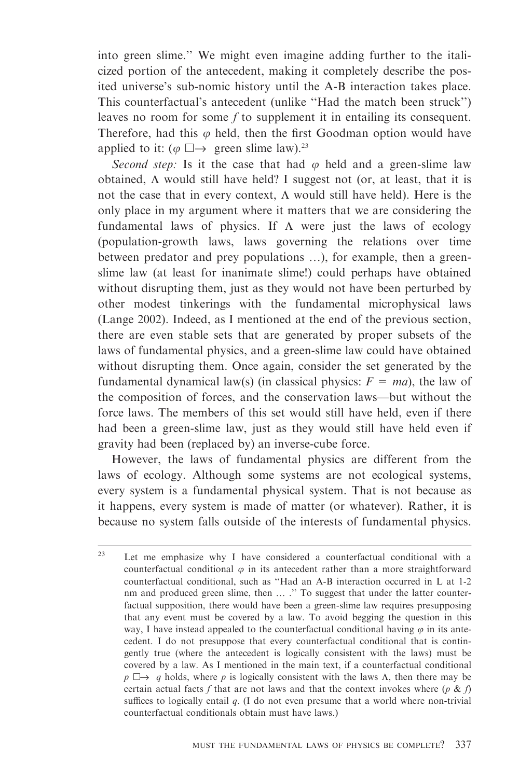into green slime.'' We might even imagine adding further to the italicized portion of the antecedent, making it completely describe the posited universe's sub-nomic history until the A-B interaction takes place. This counterfactual's antecedent (unlike ''Had the match been struck'') leaves no room for some f to supplement it in entailing its consequent. Therefore, had this  $\varphi$  held, then the first Goodman option would have applied to it:  $(\varphi \Box \rightarrow \varphi)$  green slime law).<sup>23</sup>

Second step: Is it the case that had  $\varphi$  held and a green-slime law obtained,  $\Lambda$  would still have held? I suggest not (or, at least, that it is not the case that in every context,  $\Lambda$  would still have held). Here is the only place in my argument where it matters that we are considering the fundamental laws of physics. If  $\Lambda$  were just the laws of ecology (population-growth laws, laws governing the relations over time between predator and prey populations …), for example, then a greenslime law (at least for inanimate slime!) could perhaps have obtained without disrupting them, just as they would not have been perturbed by other modest tinkerings with the fundamental microphysical laws (Lange 2002). Indeed, as I mentioned at the end of the previous section, there are even stable sets that are generated by proper subsets of the laws of fundamental physics, and a green-slime law could have obtained without disrupting them. Once again, consider the set generated by the fundamental dynamical law(s) (in classical physics:  $F = ma$ ), the law of the composition of forces, and the conservation laws—but without the force laws. The members of this set would still have held, even if there had been a green-slime law, just as they would still have held even if gravity had been (replaced by) an inverse-cube force.

However, the laws of fundamental physics are different from the laws of ecology. Although some systems are not ecological systems, every system is a fundamental physical system. That is not because as it happens, every system is made of matter (or whatever). Rather, it is because no system falls outside of the interests of fundamental physics.

 $23$  Let me emphasize why I have considered a counterfactual conditional with a counterfactual conditional  $\varphi$  in its antecedent rather than a more straightforward counterfactual conditional, such as ''Had an A-B interaction occurred in L at 1-2 nm and produced green slime, then ... ." To suggest that under the latter counterfactual supposition, there would have been a green-slime law requires presupposing that any event must be covered by a law. To avoid begging the question in this way, I have instead appealed to the counterfactual conditional having  $\varphi$  in its antecedent. I do not presuppose that every counterfactual conditional that is contingently true (where the antecedent is logically consistent with the laws) must be covered by a law. As I mentioned in the main text, if a counterfactual conditional  $p \Box \rightarrow q$  holds, where p is logically consistent with the laws  $\Lambda$ , then there may be certain actual facts f that are not laws and that the context invokes where  $(p \& f)$ suffices to logically entail  $q$ . (I do not even presume that a world where non-trivial counterfactual conditionals obtain must have laws.)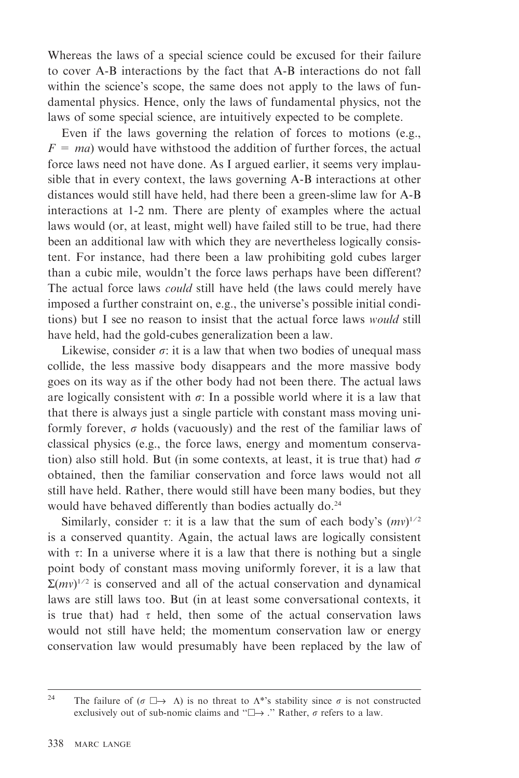Whereas the laws of a special science could be excused for their failure to cover A-B interactions by the fact that A-B interactions do not fall within the science's scope, the same does not apply to the laws of fundamental physics. Hence, only the laws of fundamental physics, not the laws of some special science, are intuitively expected to be complete.

Even if the laws governing the relation of forces to motions (e.g.,  $F = ma$ ) would have withstood the addition of further forces, the actual force laws need not have done. As I argued earlier, it seems very implausible that in every context, the laws governing A-B interactions at other distances would still have held, had there been a green-slime law for A-B interactions at 1-2 nm. There are plenty of examples where the actual laws would (or, at least, might well) have failed still to be true, had there been an additional law with which they are nevertheless logically consistent. For instance, had there been a law prohibiting gold cubes larger than a cubic mile, wouldn't the force laws perhaps have been different? The actual force laws could still have held (the laws could merely have imposed a further constraint on, e.g., the universe's possible initial conditions) but I see no reason to insist that the actual force laws would still have held, had the gold-cubes generalization been a law.

Likewise, consider  $\sigma$ : it is a law that when two bodies of unequal mass collide, the less massive body disappears and the more massive body goes on its way as if the other body had not been there. The actual laws are logically consistent with  $\sigma$ : In a possible world where it is a law that that there is always just a single particle with constant mass moving uniformly forever,  $\sigma$  holds (vacuously) and the rest of the familiar laws of classical physics (e.g., the force laws, energy and momentum conservation) also still hold. But (in some contexts, at least, it is true that) had  $\sigma$ obtained, then the familiar conservation and force laws would not all still have held. Rather, there would still have been many bodies, but they would have behaved differently than bodies actually do.<sup>24</sup>

Similarly, consider  $\tau$ : it is a law that the sum of each body's  $(mv)^{1/2}$ is a conserved quantity. Again, the actual laws are logically consistent with  $\tau$ : In a universe where it is a law that there is nothing but a single point body of constant mass moving uniformly forever, it is a law that  $\Sigma(mv)^{1/2}$  is conserved and all of the actual conservation and dynamical laws are still laws too. But (in at least some conversational contexts, it is true that) had  $\tau$  held, then some of the actual conservation laws would not still have held; the momentum conservation law or energy conservation law would presumably have been replaced by the law of

<sup>&</sup>lt;sup>24</sup> The failure of  $(\sigma \Box \rightarrow \Lambda)$  is no threat to  $\Lambda^*$ 's stability since  $\sigma$  is not constructed exclusively out of sub-nomic claims and " $\Box \rightarrow$  ." Rather,  $\sigma$  refers to a law.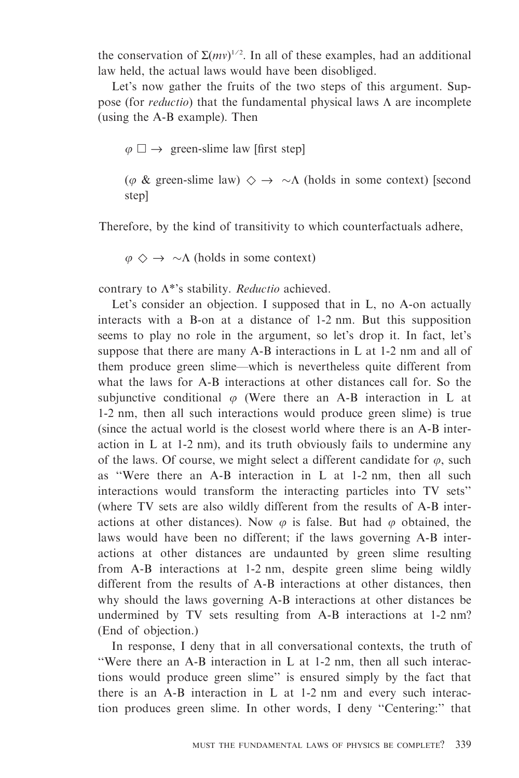the conservation of  $\Sigma(mv)^{1/2}$ . In all of these examples, had an additional law held, the actual laws would have been disobliged.

Let's now gather the fruits of the two steps of this argument. Suppose (for *reductio*) that the fundamental physical laws  $\Lambda$  are incomplete (using the A-B example). Then

 $\varphi \Box \rightarrow$  green-slime law [first step]

( $\varphi$  & green-slime law)  $\diamondsuit \rightarrow \sim \Lambda$  (holds in some context) [second step]

Therefore, by the kind of transitivity to which counterfactuals adhere,

 $\varphi \diamond \rightarrow \sim \Lambda$  (holds in some context)

contrary to  $\Lambda^*$ 's stability. *Reductio* achieved.

Let's consider an objection. I supposed that in L, no A-on actually interacts with a B-on at a distance of 1-2 nm. But this supposition seems to play no role in the argument, so let's drop it. In fact, let's suppose that there are many A-B interactions in L at 1-2 nm and all of them produce green slime—which is nevertheless quite different from what the laws for A-B interactions at other distances call for. So the subjunctive conditional  $\varphi$  (Were there an A-B interaction in L at 1-2 nm, then all such interactions would produce green slime) is true (since the actual world is the closest world where there is an A-B interaction in L at 1-2 nm), and its truth obviously fails to undermine any of the laws. Of course, we might select a different candidate for  $\varphi$ , such as ''Were there an A-B interaction in L at 1-2 nm, then all such interactions would transform the interacting particles into TV sets'' (where TV sets are also wildly different from the results of A-B interactions at other distances). Now  $\varphi$  is false. But had  $\varphi$  obtained, the laws would have been no different; if the laws governing A-B interactions at other distances are undaunted by green slime resulting from A-B interactions at 1-2 nm, despite green slime being wildly different from the results of A-B interactions at other distances, then why should the laws governing A-B interactions at other distances be undermined by TV sets resulting from A-B interactions at 1-2 nm? (End of objection.)

In response, I deny that in all conversational contexts, the truth of ''Were there an A-B interaction in L at 1-2 nm, then all such interactions would produce green slime'' is ensured simply by the fact that there is an A-B interaction in L at 1-2 nm and every such interaction produces green slime. In other words, I deny ''Centering:'' that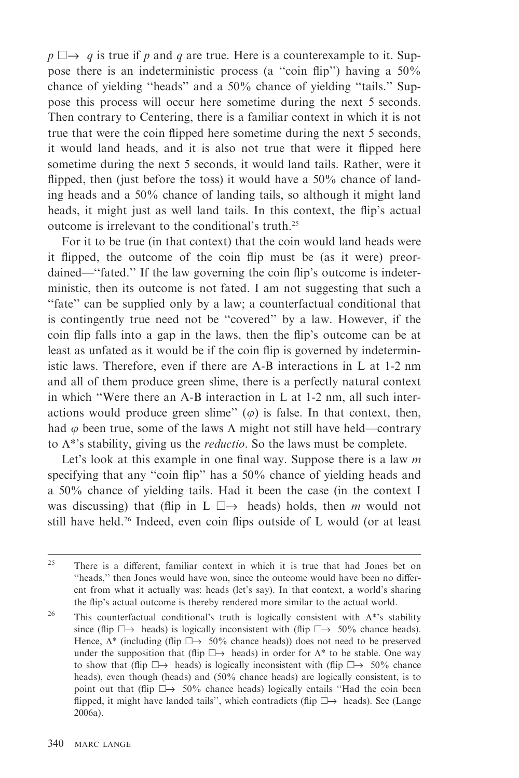$p \Box \rightarrow q$  is true if p and q are true. Here is a counterexample to it. Suppose there is an indeterministic process (a ''coin flip'') having a 50% chance of yielding ''heads'' and a 50% chance of yielding ''tails.'' Suppose this process will occur here sometime during the next 5 seconds. Then contrary to Centering, there is a familiar context in which it is not true that were the coin flipped here sometime during the next 5 seconds, it would land heads, and it is also not true that were it flipped here sometime during the next 5 seconds, it would land tails. Rather, were it flipped, then (just before the toss) it would have a 50% chance of landing heads and a 50% chance of landing tails, so although it might land heads, it might just as well land tails. In this context, the flip's actual outcome is irrelevant to the conditional's truth.25

For it to be true (in that context) that the coin would land heads were it flipped, the outcome of the coin flip must be (as it were) preordained—''fated.'' If the law governing the coin flip's outcome is indeterministic, then its outcome is not fated. I am not suggesting that such a "fate" can be supplied only by a law; a counterfactual conditional that is contingently true need not be ''covered'' by a law. However, if the coin flip falls into a gap in the laws, then the flip's outcome can be at least as unfated as it would be if the coin flip is governed by indeterministic laws. Therefore, even if there are A-B interactions in L at 1-2 nm and all of them produce green slime, there is a perfectly natural context in which ''Were there an A-B interaction in L at 1-2 nm, all such interactions would produce green slime"  $(\varphi)$  is false. In that context, then, had  $\varphi$  been true, some of the laws  $\Lambda$  might not still have held—contrary to  $\Lambda^*$ 's stability, giving us the *reductio*. So the laws must be complete.

Let's look at this example in one final way. Suppose there is a law  $m$ specifying that any "coin flip" has a 50% chance of yielding heads and a 50% chance of yielding tails. Had it been the case (in the context I was discussing) that (flip in L  $\Box \rightarrow$  heads) holds, then m would not still have held.<sup>26</sup> Indeed, even coin flips outside of L would (or at least

 $25$  There is a different, familiar context in which it is true that had Jones bet on "heads," then Jones would have won, since the outcome would have been no different from what it actually was: heads (let's say). In that context, a world's sharing the flip's actual outcome is thereby rendered more similar to the actual world.

<sup>&</sup>lt;sup>26</sup> This counterfactual conditional's truth is logically consistent with  $\Lambda^*$ 's stability since (flip  $\Box \rightarrow$  heads) is logically inconsistent with (flip  $\Box \rightarrow 50\%$  chance heads). Hence,  $\Lambda^*$  (including (flip  $\Box \rightarrow 50\%$  chance heads)) does not need to be preserved under the supposition that (flip  $\Box \rightarrow$  heads) in order for  $\Lambda^*$  to be stable. One way to show that (flip  $\Box \rightarrow$  heads) is logically inconsistent with (flip  $\Box \rightarrow 50\%$  chance heads), even though (heads) and (50% chance heads) are logically consistent, is to point out that (flip  $\Box \rightarrow 50\%$  chance heads) logically entails "Had the coin been flipped, it might have landed tails", which contradicts (flip  $\Box \rightarrow$  heads). See (Lange 2006a).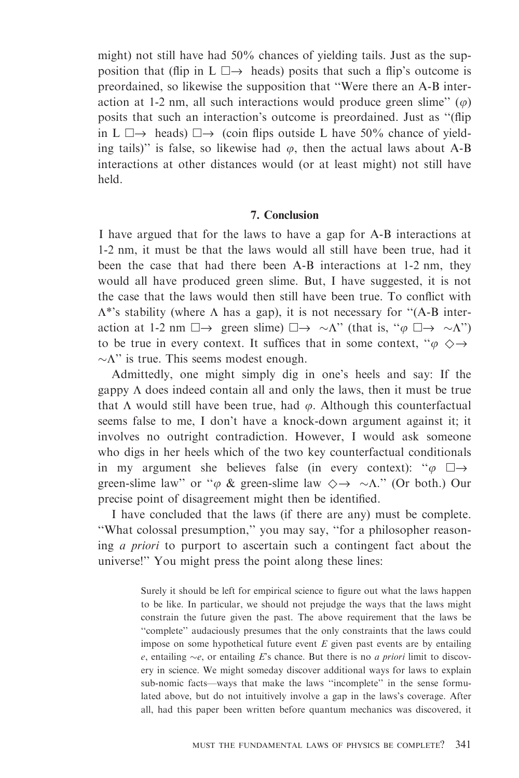might) not still have had 50% chances of yielding tails. Just as the supposition that (flip in  $L \square \rightarrow$  heads) posits that such a flip's outcome is preordained, so likewise the supposition that ''Were there an A-B interaction at 1-2 nm, all such interactions would produce green slime"  $(\varphi)$ posits that such an interaction's outcome is preordained. Just as ''(flip in L  $\Box \rightarrow$  heads)  $\Box \rightarrow$  (coin flips outside L have 50% chance of yielding tails)" is false, so likewise had  $\varphi$ , then the actual laws about A-B interactions at other distances would (or at least might) not still have held.

#### 7. Conclusion

I have argued that for the laws to have a gap for A-B interactions at 1-2 nm, it must be that the laws would all still have been true, had it been the case that had there been A-B interactions at 1-2 nm, they would all have produced green slime. But, I have suggested, it is not the case that the laws would then still have been true. To conflict with  $\Lambda^*$ 's stability (where  $\Lambda$  has a gap), it is not necessary for "(A-B interaction at 1-2 nm  $\Box \rightarrow$  green slime)  $\Box \rightarrow \sim \Lambda$ " (that is, " $\varphi \Box \rightarrow \sim \Lambda$ ") to be true in every context. It suffices that in some context, " $\varphi \diamond \rightarrow$  $\sim \Lambda$ " is true. This seems modest enough.

Admittedly, one might simply dig in one's heels and say: If the gappy  $\Lambda$  does indeed contain all and only the laws, then it must be true that  $\Lambda$  would still have been true, had  $\varphi$ . Although this counterfactual seems false to me, I don't have a knock-down argument against it; it involves no outright contradiction. However, I would ask someone who digs in her heels which of the two key counterfactual conditionals in my argument she believes false (in every context): " $\varphi \Box \rightarrow$ green-slime law" or " $\varphi$  & green-slime law  $\diamond \rightarrow \neg \Lambda$ ." (Or both.) Our precise point of disagreement might then be identified.

I have concluded that the laws (if there are any) must be complete. ''What colossal presumption,'' you may say, ''for a philosopher reasoning *a priori* to purport to ascertain such a contingent fact about the universe!'' You might press the point along these lines:

> Surely it should be left for empirical science to figure out what the laws happen to be like. In particular, we should not prejudge the ways that the laws might constrain the future given the past. The above requirement that the laws be ''complete'' audaciously presumes that the only constraints that the laws could impose on some hypothetical future event  $E$  given past events are by entailing e, entailing  $\sim e$ , or entailing E's chance. But there is no *a priori* limit to discovery in science. We might someday discover additional ways for laws to explain sub-nomic facts—ways that make the laws ''incomplete'' in the sense formulated above, but do not intuitively involve a gap in the laws's coverage. After all, had this paper been written before quantum mechanics was discovered, it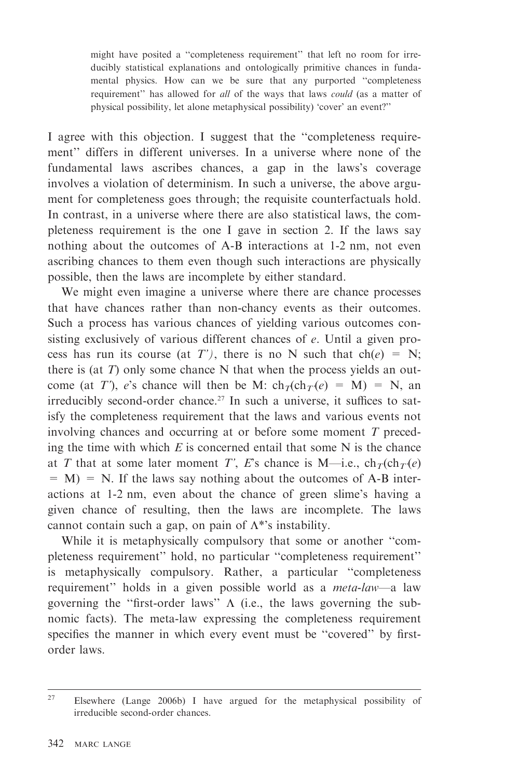might have posited a ''completeness requirement'' that left no room for irreducibly statistical explanations and ontologically primitive chances in fundamental physics. How can we be sure that any purported ''completeness requirement'' has allowed for all of the ways that laws could (as a matter of physical possibility, let alone metaphysical possibility) 'cover' an event?''

I agree with this objection. I suggest that the ''completeness requirement'' differs in different universes. In a universe where none of the fundamental laws ascribes chances, a gap in the laws's coverage involves a violation of determinism. In such a universe, the above argument for completeness goes through; the requisite counterfactuals hold. In contrast, in a universe where there are also statistical laws, the completeness requirement is the one I gave in section 2. If the laws say nothing about the outcomes of A-B interactions at 1-2 nm, not even ascribing chances to them even though such interactions are physically possible, then the laws are incomplete by either standard.

We might even imagine a universe where there are chance processes that have chances rather than non-chancy events as their outcomes. Such a process has various chances of yielding various outcomes consisting exclusively of various different chances of e. Until a given process has run its course (at T'), there is no N such that  $ch(e) = N$ ; there is (at  $T$ ) only some chance N that when the process yields an outcome (at T'), e's chance will then be M:  $ch_T(ch_T(e) = M) = N$ , an irreducibly second-order chance.<sup>27</sup> In such a universe, it suffices to satisfy the completeness requirement that the laws and various events not involving chances and occurring at or before some moment T preceding the time with which  $E$  is concerned entail that some  $N$  is the chance at T that at some later moment T', E's chance is M—i.e.,  $ch_T(ch_T(e))$  $= M$ ) = N. If the laws say nothing about the outcomes of A-B interactions at 1-2 nm, even about the chance of green slime's having a given chance of resulting, then the laws are incomplete. The laws cannot contain such a gap, on pain of  $\Lambda^*$ 's instability.

While it is metaphysically compulsory that some or another ''completeness requirement'' hold, no particular ''completeness requirement'' is metaphysically compulsory. Rather, a particular ''completeness requirement'' holds in a given possible world as a meta-law—a law governing the "first-order laws"  $\Lambda$  (i.e., the laws governing the subnomic facts). The meta-law expressing the completeness requirement specifies the manner in which every event must be ''covered'' by firstorder laws.

<sup>27</sup> Elsewhere (Lange 2006b) I have argued for the metaphysical possibility of irreducible second-order chances.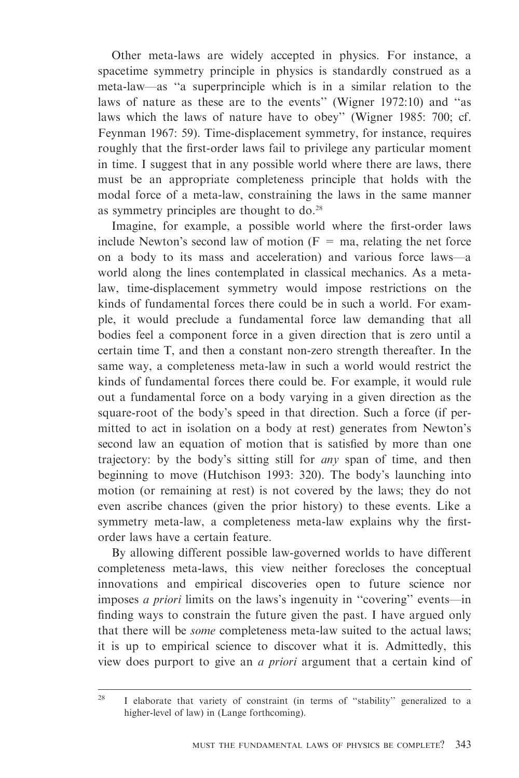Other meta-laws are widely accepted in physics. For instance, a spacetime symmetry principle in physics is standardly construed as a meta-law—as ''a superprinciple which is in a similar relation to the laws of nature as these are to the events'' (Wigner 1972:10) and ''as laws which the laws of nature have to obey'' (Wigner 1985: 700; cf. Feynman 1967: 59). Time-displacement symmetry, for instance, requires roughly that the first-order laws fail to privilege any particular moment in time. I suggest that in any possible world where there are laws, there must be an appropriate completeness principle that holds with the modal force of a meta-law, constraining the laws in the same manner as symmetry principles are thought to  $do.^{28}$ 

Imagine, for example, a possible world where the first-order laws include Newton's second law of motion ( $F = ma$ , relating the net force on a body to its mass and acceleration) and various force laws—a world along the lines contemplated in classical mechanics. As a metalaw, time-displacement symmetry would impose restrictions on the kinds of fundamental forces there could be in such a world. For example, it would preclude a fundamental force law demanding that all bodies feel a component force in a given direction that is zero until a certain time T, and then a constant non-zero strength thereafter. In the same way, a completeness meta-law in such a world would restrict the kinds of fundamental forces there could be. For example, it would rule out a fundamental force on a body varying in a given direction as the square-root of the body's speed in that direction. Such a force (if permitted to act in isolation on a body at rest) generates from Newton's second law an equation of motion that is satisfied by more than one trajectory: by the body's sitting still for any span of time, and then beginning to move (Hutchison 1993: 320). The body's launching into motion (or remaining at rest) is not covered by the laws; they do not even ascribe chances (given the prior history) to these events. Like a symmetry meta-law, a completeness meta-law explains why the firstorder laws have a certain feature.

By allowing different possible law-governed worlds to have different completeness meta-laws, this view neither forecloses the conceptual innovations and empirical discoveries open to future science nor imposes a priori limits on the laws's ingenuity in ''covering'' events—in finding ways to constrain the future given the past. I have argued only that there will be some completeness meta-law suited to the actual laws; it is up to empirical science to discover what it is. Admittedly, this view does purport to give an a priori argument that a certain kind of

<sup>&</sup>lt;sup>28</sup> I elaborate that variety of constraint (in terms of "stability" generalized to a higher-level of law) in (Lange forthcoming).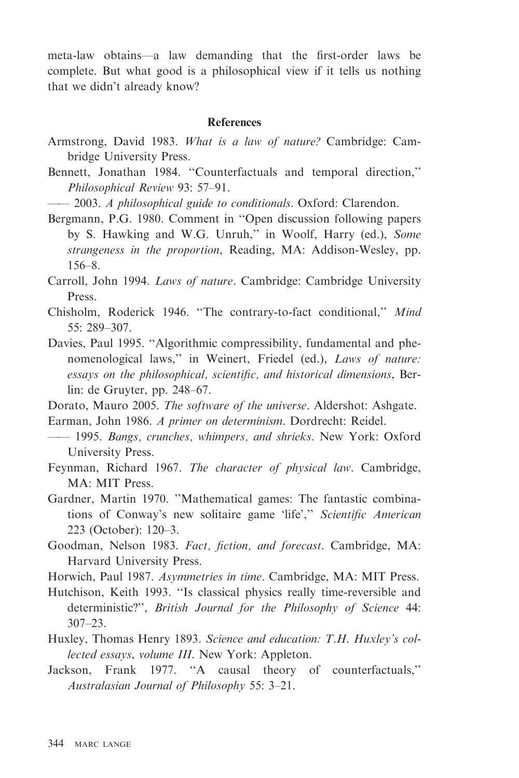meta-law obtains—a law demanding that the first-order laws be complete. But what good is a philosophical view if it tells us nothing that we didn't already know?

#### References

- Armstrong, David 1983. What is a law of nature? Cambridge: Cambridge University Press.
- Bennett, Jonathan 1984. ''Counterfactuals and temporal direction,'' Philosophical Review 93: 57–91.

—— 2003. A philosophical guide to conditionals. Oxford: Clarendon.

- Bergmann, P.G. 1980. Comment in ''Open discussion following papers by S. Hawking and W.G. Unruh," in Woolf, Harry (ed.), Some strangeness in the proportion, Reading, MA: Addison-Wesley, pp. 156–8.
- Carroll, John 1994. Laws of nature. Cambridge: Cambridge University Press.
- Chisholm, Roderick 1946. ''The contrary-to-fact conditional,'' Mind 55: 289–307.
- Davies, Paul 1995. ''Algorithmic compressibility, fundamental and phenomenological laws,'' in Weinert, Friedel (ed.), Laws of nature: essays on the philosophical, scientific, and historical dimensions, Berlin: de Gruyter, pp. 248–67.

Dorato, Mauro 2005. The software of the universe. Aldershot: Ashgate.

Earman, John 1986. A primer on determinism. Dordrecht: Reidel.

- —— 1995. Bangs, crunches, whimpers, and shrieks. New York: Oxford University Press.
- Feynman, Richard 1967. The character of physical law. Cambridge, MA: MIT Press.
- Gardner, Martin 1970. ''Mathematical games: The fantastic combinations of Conway's new solitaire game 'life','' Scientific American 223 (October): 120–3.
- Goodman, Nelson 1983. Fact, fiction, and forecast. Cambridge, MA: Harvard University Press.

Horwich, Paul 1987. Asymmetries in time. Cambridge, MA: MIT Press.

- Hutchison, Keith 1993. ''Is classical physics really time-reversible and deterministic?'', British Journal for the Philosophy of Science 44: 307–23.
- Huxley, Thomas Henry 1893. Science and education: T.H. Huxley's collected essays, volume III. New York: Appleton.
- Jackson, Frank 1977. ''A causal theory of counterfactuals,'' Australasian Journal of Philosophy 55: 3–21.